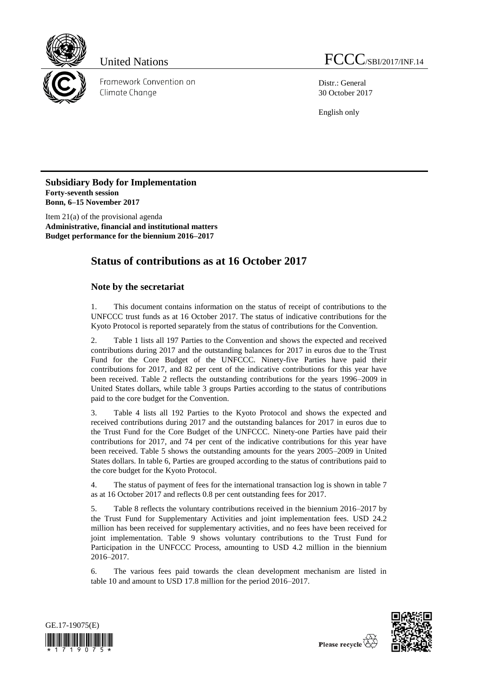

Framework Convention on Climate Change

Distr.: General 30 October 2017

English only

**Subsidiary Body for Implementation Forty-seventh session Bonn, 6–15 November 2017**

Item 21(a) of the provisional agenda **Administrative, financial and institutional matters Budget performance for the biennium 2016–2017**

# **Status of contributions as at 16 October 2017**

## **Note by the secretariat**

1. This document contains information on the status of receipt of contributions to the UNFCCC trust funds as at 16 October 2017. The status of indicative contributions for the Kyoto Protocol is reported separately from the status of contributions for the Convention.

2. Table 1 lists all 197 Parties to the Convention and shows the expected and received contributions during 2017 and the outstanding balances for 2017 in euros due to the Trust Fund for the Core Budget of the UNFCCC. Ninety-five Parties have paid their contributions for 2017, and 82 per cent of the indicative contributions for this year have been received. Table 2 reflects the outstanding contributions for the years 1996–2009 in United States dollars, while table 3 groups Parties according to the status of contributions paid to the core budget for the Convention.

3. Table 4 lists all 192 Parties to the Kyoto Protocol and shows the expected and received contributions during 2017 and the outstanding balances for 2017 in euros due to the Trust Fund for the Core Budget of the UNFCCC. Ninety-one Parties have paid their contributions for 2017, and 74 per cent of the indicative contributions for this year have been received. Table 5 shows the outstanding amounts for the years 2005–2009 in United States dollars. In table 6, Parties are grouped according to the status of contributions paid to the core budget for the Kyoto Protocol.

4. The status of payment of fees for the international transaction log is shown in table 7 as at 16 October 2017 and reflects 0.8 per cent outstanding fees for 2017.

5. Table 8 reflects the voluntary contributions received in the biennium 2016–2017 by the Trust Fund for Supplementary Activities and joint implementation fees. USD 24.2 million has been received for supplementary activities, and no fees have been received for joint implementation. Table 9 shows voluntary contributions to the Trust Fund for Participation in the UNFCCC Process, amounting to USD 4.2 million in the biennium 2016–2017.

6. The various fees paid towards the clean development mechanism are listed in table 10 and amount to USD 17.8 million for the period 2016–2017.



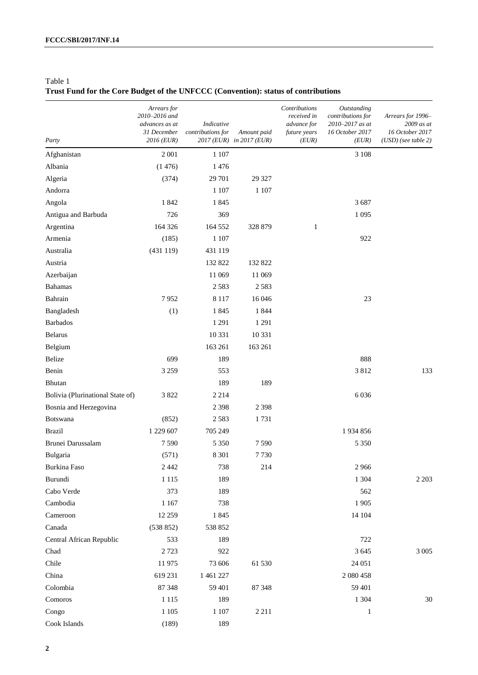## **Trust Fund for the Core Budget of the UNFCCC (Convention): status of contributions**

| Party                            | Arrears for<br>2010-2016 and<br>advances as at<br>31 December<br>2016 (EUR) | Indicative<br>contributions for | Amount paid<br>2017 (EUR) in 2017 (EUR) | Contributions<br>received in<br>advance for<br>future years<br>(EUR) | Outstanding<br>contributions for<br>2010-2017 as at<br>16 October 2017<br>(EUR) | Arrears for 1996-<br>2009 as at<br>16 October 2017<br>$(USD)$ (see table 2) |
|----------------------------------|-----------------------------------------------------------------------------|---------------------------------|-----------------------------------------|----------------------------------------------------------------------|---------------------------------------------------------------------------------|-----------------------------------------------------------------------------|
| Afghanistan                      | 2 0 0 1                                                                     | 1 107                           |                                         |                                                                      | 3 1 0 8                                                                         |                                                                             |
| Albania                          | (1476)                                                                      | 1476                            |                                         |                                                                      |                                                                                 |                                                                             |
| Algeria                          | (374)                                                                       | 29 701                          | 29 3 27                                 |                                                                      |                                                                                 |                                                                             |
| Andorra                          |                                                                             | 1 107                           | 1 1 0 7                                 |                                                                      |                                                                                 |                                                                             |
| Angola                           | 1842                                                                        | 1845                            |                                         |                                                                      | 3687                                                                            |                                                                             |
| Antigua and Barbuda              | 726                                                                         | 369                             |                                         |                                                                      | 1 0 9 5                                                                         |                                                                             |
| Argentina                        | 164 326                                                                     | 164 552                         | 328 879                                 | $\mathbf{1}$                                                         |                                                                                 |                                                                             |
| Armenia                          | (185)                                                                       | 1 1 0 7                         |                                         |                                                                      | 922                                                                             |                                                                             |
| Australia                        | (431119)                                                                    | 431 119                         |                                         |                                                                      |                                                                                 |                                                                             |
| Austria                          |                                                                             | 132 822                         | 132 822                                 |                                                                      |                                                                                 |                                                                             |
| Azerbaijan                       |                                                                             | 11 069                          | 11 069                                  |                                                                      |                                                                                 |                                                                             |
| <b>Bahamas</b>                   |                                                                             | 2583                            | 2583                                    |                                                                      |                                                                                 |                                                                             |
| Bahrain                          | 7952                                                                        | 8 1 1 7                         | 16 04 6                                 |                                                                      | 23                                                                              |                                                                             |
| Bangladesh                       | (1)                                                                         | 1845                            | 1844                                    |                                                                      |                                                                                 |                                                                             |
| <b>Barbados</b>                  |                                                                             | 1 2 9 1                         | 1 2 9 1                                 |                                                                      |                                                                                 |                                                                             |
| <b>Belarus</b>                   |                                                                             | 10 331                          | 10 3 31                                 |                                                                      |                                                                                 |                                                                             |
| Belgium                          |                                                                             | 163 261                         | 163 261                                 |                                                                      |                                                                                 |                                                                             |
| Belize                           | 699                                                                         | 189                             |                                         |                                                                      | 888                                                                             |                                                                             |
| Benin                            | 3 2 5 9                                                                     | 553                             |                                         |                                                                      | 3812                                                                            | 133                                                                         |
| Bhutan                           |                                                                             | 189                             | 189                                     |                                                                      |                                                                                 |                                                                             |
| Bolivia (Plurinational State of) | 3822                                                                        | 2 2 1 4                         |                                         |                                                                      | 6036                                                                            |                                                                             |
| Bosnia and Herzegovina           |                                                                             | 2 3 9 8                         | 2 3 9 8                                 |                                                                      |                                                                                 |                                                                             |
| Botswana                         | (852)                                                                       | 2583                            | 1731                                    |                                                                      |                                                                                 |                                                                             |
| <b>Brazil</b>                    | 1 229 607                                                                   | 705 249                         |                                         |                                                                      | 1934856                                                                         |                                                                             |
| Brunei Darussalam                | 7590                                                                        | 5 3 5 0                         | 7590                                    |                                                                      | 5 3 5 0                                                                         |                                                                             |
| Bulgaria                         | (571)                                                                       | 8 3 0 1                         | 7730                                    |                                                                      |                                                                                 |                                                                             |
| Burkina Faso                     | 2 4 4 2                                                                     | 738                             | 214                                     |                                                                      | 2966                                                                            |                                                                             |
| Burundi                          | 1 1 1 5                                                                     | 189                             |                                         |                                                                      | 1 3 0 4                                                                         | 2 2 0 3                                                                     |
| Cabo Verde                       | 373                                                                         | 189                             |                                         |                                                                      | 562                                                                             |                                                                             |
| Cambodia                         | 1 1 67                                                                      | 738                             |                                         |                                                                      | 1905                                                                            |                                                                             |
| Cameroon                         | 12 25 9                                                                     | 1845                            |                                         |                                                                      | 14 104                                                                          |                                                                             |
| Canada                           | (538 852)                                                                   | 538 852                         |                                         |                                                                      |                                                                                 |                                                                             |
| Central African Republic         | 533                                                                         | 189                             |                                         |                                                                      | 722                                                                             |                                                                             |
| Chad                             | 2723                                                                        | 922                             |                                         |                                                                      | 3 6 4 5                                                                         | $3\;005$                                                                    |
| Chile                            | 11975                                                                       | 73 606                          | 61 530                                  |                                                                      | 24 051                                                                          |                                                                             |
| China                            | 619 231                                                                     | 1 461 227                       |                                         |                                                                      | 2 080 458                                                                       |                                                                             |
| Colombia                         | 87 348                                                                      | 59 401                          | 87 348                                  |                                                                      | 59 401                                                                          |                                                                             |
| Comoros                          | 1 1 1 5                                                                     | 189                             |                                         |                                                                      | 1 3 0 4                                                                         | $30\,$                                                                      |
| Congo                            | $1\;105$                                                                    | 1 1 0 7                         | 2 2 1 1                                 |                                                                      | $\mathbf{1}$                                                                    |                                                                             |
| Cook Islands                     | (189)                                                                       | 189                             |                                         |                                                                      |                                                                                 |                                                                             |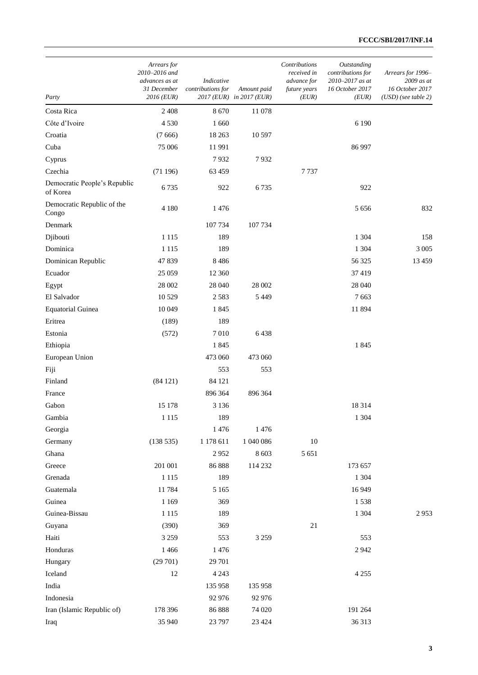| Party                                    | Arrears for<br>2010-2016 and<br>advances as at<br>31 December<br>2016 (EUR) | Indicative<br>contributions for | Amount paid<br>2017 (EUR) in 2017 (EUR) | Contributions<br>received in<br>advance for<br>future years<br>(EUR) | Outstanding<br>contributions for<br>2010-2017 as at<br>16 October 2017<br>(EUR) | Arrears for 1996-<br>2009 as at<br>16 October 2017<br>$(USD)$ (see table 2) |
|------------------------------------------|-----------------------------------------------------------------------------|---------------------------------|-----------------------------------------|----------------------------------------------------------------------|---------------------------------------------------------------------------------|-----------------------------------------------------------------------------|
| Costa Rica                               | 2 4 0 8                                                                     | 8670                            | 11 078                                  |                                                                      |                                                                                 |                                                                             |
| Côte d'Ivoire                            | 4530                                                                        | 1 660                           |                                         |                                                                      | 6 1 9 0                                                                         |                                                                             |
| Croatia                                  | (7666)                                                                      | 18 26 3                         | 10 597                                  |                                                                      |                                                                                 |                                                                             |
| Cuba                                     | 75 006                                                                      | 11991                           |                                         |                                                                      | 86 997                                                                          |                                                                             |
| Cyprus                                   |                                                                             | 7932                            | 7932                                    |                                                                      |                                                                                 |                                                                             |
| Czechia                                  | (71196)                                                                     | 63 459                          |                                         | 7737                                                                 |                                                                                 |                                                                             |
| Democratic People's Republic<br>of Korea | 6735                                                                        | 922                             | 6735                                    |                                                                      | 922                                                                             |                                                                             |
| Democratic Republic of the<br>Congo      | 4 1 8 0                                                                     | 1476                            |                                         |                                                                      | 5 6 5 6                                                                         | 832                                                                         |
| Denmark                                  |                                                                             | 107 734                         | 107 734                                 |                                                                      |                                                                                 |                                                                             |
| Djibouti                                 | 1 1 1 5                                                                     | 189                             |                                         |                                                                      | 1 3 0 4                                                                         | 158                                                                         |
| Dominica                                 | 1 1 1 5                                                                     | 189                             |                                         |                                                                      | 1 3 0 4                                                                         | 3 0 0 5                                                                     |
| Dominican Republic                       | 47839                                                                       | 8486                            |                                         |                                                                      | 56 325                                                                          | 13 4 5 9                                                                    |
| Ecuador                                  | 25 059                                                                      | 12 360                          |                                         |                                                                      | 37419                                                                           |                                                                             |
| Egypt                                    | 28 002                                                                      | 28 040                          | 28 002                                  |                                                                      | 28 040                                                                          |                                                                             |
| El Salvador                              | 10 5 29                                                                     | 2583                            | 5 4 4 9                                 |                                                                      | 7663                                                                            |                                                                             |
| <b>Equatorial Guinea</b>                 | 10 049                                                                      | 1845                            |                                         |                                                                      | 11894                                                                           |                                                                             |
| Eritrea                                  | (189)                                                                       | 189                             |                                         |                                                                      |                                                                                 |                                                                             |
| Estonia                                  | (572)                                                                       | 7010                            | 6438                                    |                                                                      |                                                                                 |                                                                             |
| Ethiopia                                 |                                                                             | 1845                            |                                         |                                                                      | 1845                                                                            |                                                                             |
| European Union                           |                                                                             | 473 060                         | 473 060                                 |                                                                      |                                                                                 |                                                                             |
| Fiji                                     |                                                                             | 553                             | 553                                     |                                                                      |                                                                                 |                                                                             |
| Finland                                  | (84121)                                                                     | 84 121                          |                                         |                                                                      |                                                                                 |                                                                             |
| France                                   |                                                                             | 896 364                         | 896 364                                 |                                                                      |                                                                                 |                                                                             |
| Gabon                                    | 15 178                                                                      | 3 1 3 6                         |                                         |                                                                      | 18 3 14                                                                         |                                                                             |
| Gambia                                   | 1 1 1 5                                                                     | 189                             |                                         |                                                                      | 1 3 0 4                                                                         |                                                                             |
| Georgia                                  |                                                                             | 1476                            | 1476                                    |                                                                      |                                                                                 |                                                                             |
| Germany                                  | (138535)                                                                    | 1 178 611                       | 1 040 086                               | $10\,$                                                               |                                                                                 |                                                                             |
| Ghana                                    |                                                                             | 2952                            | 8 6 0 3                                 | 5 6 5 1                                                              |                                                                                 |                                                                             |
| Greece                                   | 201 001                                                                     | 86888                           | 114 232                                 |                                                                      | 173 657                                                                         |                                                                             |
| Grenada                                  | 1 1 1 5                                                                     | 189                             |                                         |                                                                      | 1 3 0 4                                                                         |                                                                             |
| Guatemala                                | 11784                                                                       | 5 1 6 5                         |                                         |                                                                      | 16949                                                                           |                                                                             |
| Guinea                                   | 1 1 6 9                                                                     | 369                             |                                         |                                                                      | 1538                                                                            |                                                                             |
| Guinea-Bissau                            | 1 1 1 5                                                                     | 189                             |                                         |                                                                      | 1 3 0 4                                                                         | 2953                                                                        |
| Guyana                                   | (390)                                                                       | 369                             |                                         | $21\,$                                                               |                                                                                 |                                                                             |
| Haiti                                    | 3 2 5 9                                                                     | 553                             | 3 2 5 9                                 |                                                                      | 553                                                                             |                                                                             |
| Honduras                                 | 1 4 6 6                                                                     | 1476                            |                                         |                                                                      | 2942                                                                            |                                                                             |
| Hungary                                  | (29701)                                                                     | 29 701                          |                                         |                                                                      |                                                                                 |                                                                             |
| Iceland                                  | 12                                                                          | 4 2 4 3                         |                                         |                                                                      | 4 2 5 5                                                                         |                                                                             |
| India                                    |                                                                             | 135 958                         | 135 958                                 |                                                                      |                                                                                 |                                                                             |
| Indonesia                                |                                                                             | 92 976                          | 92 976                                  |                                                                      |                                                                                 |                                                                             |
| Iran (Islamic Republic of)               | 178 396                                                                     | 86 888                          | 74 020                                  |                                                                      | 191 264                                                                         |                                                                             |
| Iraq                                     | 35 940                                                                      | 23 797                          | 23 4 24                                 |                                                                      | 36313                                                                           |                                                                             |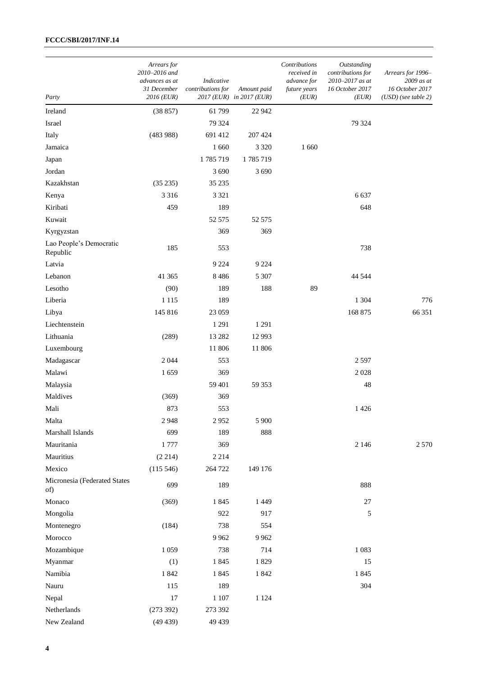| Party                               | Arrears for<br>2010-2016 and<br>advances as at<br>31 December<br>2016 (EUR) | Indicative<br>contributions for | Amount paid<br>2017 (EUR) in 2017 (EUR) | Contributions<br>received in<br>advance for<br>future years<br>(EUR) | Outstanding<br>contributions for<br>2010-2017 as at<br>16 October 2017<br>(EUR) | Arrears for 1996-<br>2009 as at<br>16 October 2017<br>$(USD)$ (see table 2) |
|-------------------------------------|-----------------------------------------------------------------------------|---------------------------------|-----------------------------------------|----------------------------------------------------------------------|---------------------------------------------------------------------------------|-----------------------------------------------------------------------------|
| Ireland                             | (38857)                                                                     | 61 799                          | 22 942                                  |                                                                      |                                                                                 |                                                                             |
| Israel                              |                                                                             | 79 324                          |                                         |                                                                      | 79 324                                                                          |                                                                             |
| Italy                               | (483988)                                                                    | 691 412                         | 207 424                                 |                                                                      |                                                                                 |                                                                             |
| Jamaica                             |                                                                             | 1 660                           | 3 3 2 0                                 | 1 660                                                                |                                                                                 |                                                                             |
| Japan                               |                                                                             | 1785719                         | 1785719                                 |                                                                      |                                                                                 |                                                                             |
| Jordan                              |                                                                             | 3 6 9 0                         | 3 6 9 0                                 |                                                                      |                                                                                 |                                                                             |
| Kazakhstan                          | (35 235)                                                                    | 35 235                          |                                         |                                                                      |                                                                                 |                                                                             |
| Kenya                               | 3 3 1 6                                                                     | 3 3 2 1                         |                                         |                                                                      | 6637                                                                            |                                                                             |
| Kiribati                            | 459                                                                         | 189                             |                                         |                                                                      | 648                                                                             |                                                                             |
| Kuwait                              |                                                                             | 52 575                          | 52 575                                  |                                                                      |                                                                                 |                                                                             |
| Kyrgyzstan                          |                                                                             | 369                             | 369                                     |                                                                      |                                                                                 |                                                                             |
| Lao People's Democratic<br>Republic | 185                                                                         | 553                             |                                         |                                                                      | 738                                                                             |                                                                             |
| Latvia                              |                                                                             | 9 2 2 4                         | 9 2 2 4                                 |                                                                      |                                                                                 |                                                                             |
| Lebanon                             | 41 3 65                                                                     | 8486                            | 5 3 0 7                                 |                                                                      | 44 5 44                                                                         |                                                                             |
| Lesotho                             | (90)                                                                        | 189                             | 188                                     | 89                                                                   |                                                                                 |                                                                             |
| Liberia                             | 1 1 1 5                                                                     | 189                             |                                         |                                                                      | 1 3 0 4                                                                         | 776                                                                         |
| Libya                               | 145 816                                                                     | 23 059                          |                                         |                                                                      | 168 875                                                                         | 66 351                                                                      |
| Liechtenstein                       |                                                                             | 1 2 9 1                         | 1 2 9 1                                 |                                                                      |                                                                                 |                                                                             |
| Lithuania                           | (289)                                                                       | 13 28 2                         | 12 9 93                                 |                                                                      |                                                                                 |                                                                             |
| Luxembourg                          |                                                                             | 11 806                          | 11 806                                  |                                                                      |                                                                                 |                                                                             |
| Madagascar                          | 2044                                                                        | 553                             |                                         |                                                                      | 2597                                                                            |                                                                             |
| Malawi                              | 1659                                                                        | 369                             |                                         |                                                                      | 2028                                                                            |                                                                             |
| Malaysia                            |                                                                             | 59 401                          | 59 353                                  |                                                                      | 48                                                                              |                                                                             |
| Maldives                            | (369)                                                                       | 369                             |                                         |                                                                      |                                                                                 |                                                                             |
| Mali                                | 873                                                                         | 553                             |                                         |                                                                      | 1426                                                                            |                                                                             |
| Malta                               | 2948                                                                        | 2952                            | 5 900                                   |                                                                      |                                                                                 |                                                                             |
| Marshall Islands                    | 699                                                                         | 189                             | 888                                     |                                                                      |                                                                                 |                                                                             |
| Mauritania                          | 1777                                                                        | 369                             |                                         |                                                                      | 2 1 4 6                                                                         | 2570                                                                        |
| Mauritius                           | (2 214)                                                                     | 2 2 1 4                         |                                         |                                                                      |                                                                                 |                                                                             |
| Mexico                              | (115 546)                                                                   | 264 722                         | 149 176                                 |                                                                      |                                                                                 |                                                                             |
| Micronesia (Federated States<br>of) | 699                                                                         | 189                             |                                         |                                                                      | 888                                                                             |                                                                             |
| Monaco                              | (369)                                                                       | 1845                            | 1 4 4 9                                 |                                                                      | $27\,$                                                                          |                                                                             |
| Mongolia                            |                                                                             | 922                             | 917                                     |                                                                      | 5                                                                               |                                                                             |
| Montenegro                          | (184)                                                                       | 738                             | 554                                     |                                                                      |                                                                                 |                                                                             |
| Morocco                             |                                                                             | 9962                            | 9962                                    |                                                                      |                                                                                 |                                                                             |
| Mozambique                          | 1 0 5 9                                                                     | 738                             | 714                                     |                                                                      | 1083                                                                            |                                                                             |
| Myanmar                             | (1)                                                                         | 1845                            | 1829                                    |                                                                      | 15                                                                              |                                                                             |
| Namibia                             | 1842                                                                        | 1845                            | 1842                                    |                                                                      | 1845                                                                            |                                                                             |
| Nauru                               | 115                                                                         | 189                             |                                         |                                                                      | 304                                                                             |                                                                             |
| Nepal                               | 17                                                                          | 1 1 0 7                         | 1 1 2 4                                 |                                                                      |                                                                                 |                                                                             |
| Netherlands                         | (273 392)                                                                   | 273 392                         |                                         |                                                                      |                                                                                 |                                                                             |
| New Zealand                         | (49 439)                                                                    | 49 439                          |                                         |                                                                      |                                                                                 |                                                                             |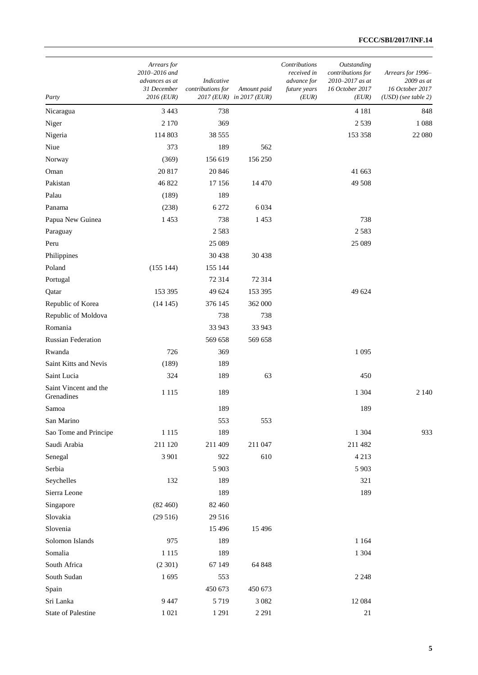| Party                               | Arrears for<br>2010-2016 and<br>advances as at<br>31 December<br>2016 (EUR) | Indicative<br>contributions for | Amount paid<br>2017 (EUR) in 2017 (EUR) | Contributions<br>received in<br>advance for<br>future years<br>(EUR) | Outstanding<br>contributions for<br>2010-2017 as at<br>16 October 2017<br>(EUR) | Arrears for 1996-<br>2009 as at<br>16 October 2017<br>$(USD)$ (see table 2) |
|-------------------------------------|-----------------------------------------------------------------------------|---------------------------------|-----------------------------------------|----------------------------------------------------------------------|---------------------------------------------------------------------------------|-----------------------------------------------------------------------------|
| Nicaragua                           | 3 4 4 3                                                                     | 738                             |                                         |                                                                      | 4 1 8 1                                                                         | 848                                                                         |
| Niger                               | 2 1 7 0                                                                     | 369                             |                                         |                                                                      | 2539                                                                            | 1088                                                                        |
| Nigeria                             | 114 803                                                                     | 38 555                          |                                         |                                                                      | 153 358                                                                         | 22 080                                                                      |
| Niue                                | 373                                                                         | 189                             | 562                                     |                                                                      |                                                                                 |                                                                             |
| Norway                              | (369)                                                                       | 156 619                         | 156 250                                 |                                                                      |                                                                                 |                                                                             |
| Oman                                | 20 817                                                                      | 20 846                          |                                         |                                                                      | 41 663                                                                          |                                                                             |
| Pakistan                            | 46 822                                                                      | 17 15 6                         | 14 4 7 0                                |                                                                      | 49 508                                                                          |                                                                             |
| Palau                               | (189)                                                                       | 189                             |                                         |                                                                      |                                                                                 |                                                                             |
| Panama                              | (238)                                                                       | 6 2 7 2                         | 6034                                    |                                                                      |                                                                                 |                                                                             |
| Papua New Guinea                    | 1453                                                                        | 738                             | 1453                                    |                                                                      | 738                                                                             |                                                                             |
| Paraguay                            |                                                                             | 2583                            |                                         |                                                                      | 2583                                                                            |                                                                             |
| Peru                                |                                                                             | 25 089                          |                                         |                                                                      | 25 089                                                                          |                                                                             |
| Philippines                         |                                                                             | 30 438                          | 30 438                                  |                                                                      |                                                                                 |                                                                             |
| Poland                              | (155 144)                                                                   | 155 144                         |                                         |                                                                      |                                                                                 |                                                                             |
| Portugal                            |                                                                             | 72 314                          | 72 314                                  |                                                                      |                                                                                 |                                                                             |
| Qatar                               | 153 395                                                                     | 49 624                          | 153 395                                 |                                                                      | 49 624                                                                          |                                                                             |
| Republic of Korea                   | (14145)                                                                     | 376 145                         | 362 000                                 |                                                                      |                                                                                 |                                                                             |
| Republic of Moldova                 |                                                                             | 738                             | 738                                     |                                                                      |                                                                                 |                                                                             |
| Romania                             |                                                                             | 33 943                          | 33 943                                  |                                                                      |                                                                                 |                                                                             |
| <b>Russian Federation</b>           |                                                                             | 569 658                         | 569 658                                 |                                                                      |                                                                                 |                                                                             |
| Rwanda                              | 726                                                                         | 369                             |                                         |                                                                      | 1 0 9 5                                                                         |                                                                             |
| Saint Kitts and Nevis               | (189)                                                                       | 189                             |                                         |                                                                      |                                                                                 |                                                                             |
| Saint Lucia                         | 324                                                                         | 189                             | 63                                      |                                                                      | 450                                                                             |                                                                             |
| Saint Vincent and the<br>Grenadines | 1 1 1 5                                                                     | 189                             |                                         |                                                                      | 1 3 0 4                                                                         | 2 1 4 0                                                                     |
| Samoa                               |                                                                             | 189                             |                                         |                                                                      | 189                                                                             |                                                                             |
| San Marino                          |                                                                             | 553                             | 553                                     |                                                                      |                                                                                 |                                                                             |
| Sao Tome and Principe               | 1 1 1 5                                                                     | 189                             |                                         |                                                                      | 1 3 0 4                                                                         | 933                                                                         |
| Saudi Arabia                        | 211 120                                                                     | 211 409                         | 211 047                                 |                                                                      | 211 482                                                                         |                                                                             |
| Senegal                             | 3 9 0 1                                                                     | 922                             | 610                                     |                                                                      | 4 2 1 3                                                                         |                                                                             |
| Serbia                              |                                                                             | 5 9 0 3                         |                                         |                                                                      | 5 9 0 3                                                                         |                                                                             |
| Seychelles                          | 132                                                                         | 189                             |                                         |                                                                      | 321                                                                             |                                                                             |
| Sierra Leone                        |                                                                             | 189                             |                                         |                                                                      | 189                                                                             |                                                                             |
| Singapore                           | (82460)                                                                     | 82 460                          |                                         |                                                                      |                                                                                 |                                                                             |
| Slovakia                            | (29516)                                                                     | 29 516                          |                                         |                                                                      |                                                                                 |                                                                             |
| Slovenia                            |                                                                             | 15 4 9 6                        | 15 4 9 6                                |                                                                      |                                                                                 |                                                                             |
| Solomon Islands                     | 975                                                                         | 189                             |                                         |                                                                      | 1 1 6 4                                                                         |                                                                             |
| Somalia                             | 1 1 1 5                                                                     | 189                             |                                         |                                                                      | 1 3 0 4                                                                         |                                                                             |
| South Africa                        | (2301)                                                                      | 67 149                          | 64 848                                  |                                                                      |                                                                                 |                                                                             |
| South Sudan                         | 1695                                                                        | 553                             |                                         |                                                                      | 2 2 4 8                                                                         |                                                                             |
| Spain                               |                                                                             | 450 673                         | 450 673                                 |                                                                      |                                                                                 |                                                                             |
| Sri Lanka                           | 9 4 4 7                                                                     | 5719                            | 3 0 8 2                                 |                                                                      | 12084                                                                           |                                                                             |
| <b>State of Palestine</b>           | 1 0 2 1                                                                     | 1 2 9 1                         | 2 2 9 1                                 |                                                                      | 21                                                                              |                                                                             |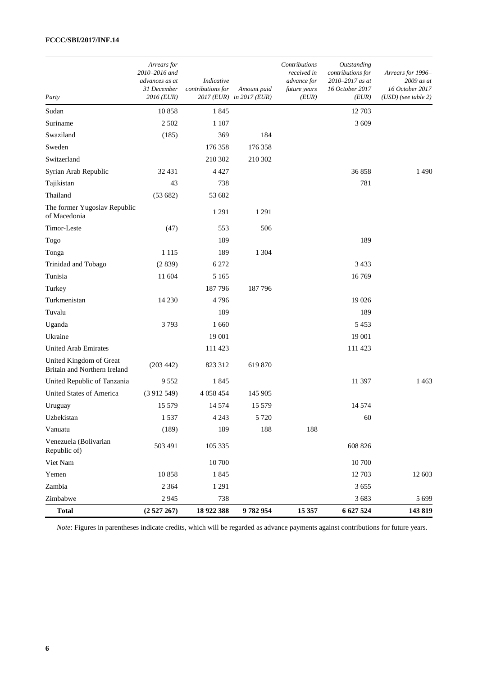| Party                                                   | Arrears for<br>2010-2016 and<br>advances as at<br>31 December<br>2016 (EUR) | Indicative<br>contributions for | Amount paid<br>2017 (EUR) in 2017 (EUR) | Contributions<br>received in<br>advance for<br>future years<br>(EUR) | Outstanding<br>contributions for<br>2010-2017 as at<br>16 October 2017<br>(EUR) | Arrears for 1996-<br>2009 as at<br>16 October 2017<br>$(USD)$ (see table 2) |
|---------------------------------------------------------|-----------------------------------------------------------------------------|---------------------------------|-----------------------------------------|----------------------------------------------------------------------|---------------------------------------------------------------------------------|-----------------------------------------------------------------------------|
| Sudan                                                   | 10858                                                                       | 1845                            |                                         |                                                                      | 12 703                                                                          |                                                                             |
| Suriname                                                | 2 5 0 2                                                                     | 1 1 0 7                         |                                         |                                                                      | 3 609                                                                           |                                                                             |
| Swaziland                                               | (185)                                                                       | 369                             | 184                                     |                                                                      |                                                                                 |                                                                             |
| Sweden                                                  |                                                                             | 176 358                         | 176 358                                 |                                                                      |                                                                                 |                                                                             |
| Switzerland                                             |                                                                             | 210 302                         | 210 302                                 |                                                                      |                                                                                 |                                                                             |
| Syrian Arab Republic                                    | 32 431                                                                      | 4 4 2 7                         |                                         |                                                                      | 36858                                                                           | 1490                                                                        |
| Tajikistan                                              | 43                                                                          | 738                             |                                         |                                                                      | 781                                                                             |                                                                             |
| Thailand                                                | (53682)                                                                     | 53 682                          |                                         |                                                                      |                                                                                 |                                                                             |
| The former Yugoslav Republic<br>of Macedonia            |                                                                             | 1 2 9 1                         | 1 2 9 1                                 |                                                                      |                                                                                 |                                                                             |
| Timor-Leste                                             | (47)                                                                        | 553                             | 506                                     |                                                                      |                                                                                 |                                                                             |
| Togo                                                    |                                                                             | 189                             |                                         |                                                                      | 189                                                                             |                                                                             |
| Tonga                                                   | 1 1 1 5                                                                     | 189                             | 1 3 0 4                                 |                                                                      |                                                                                 |                                                                             |
| Trinidad and Tobago                                     | (2839)                                                                      | 6 2 7 2                         |                                         |                                                                      | 3 4 3 3                                                                         |                                                                             |
| Tunisia                                                 | 11 604                                                                      | 5 1 6 5                         |                                         |                                                                      | 16769                                                                           |                                                                             |
| Turkey                                                  |                                                                             | 187796                          | 187796                                  |                                                                      |                                                                                 |                                                                             |
| Turkmenistan                                            | 14 230                                                                      | 4796                            |                                         |                                                                      | 19 0 26                                                                         |                                                                             |
| Tuvalu                                                  |                                                                             | 189                             |                                         |                                                                      | 189                                                                             |                                                                             |
| Uganda                                                  | 3793                                                                        | 1 660                           |                                         |                                                                      | 5453                                                                            |                                                                             |
| Ukraine                                                 |                                                                             | 19 001                          |                                         |                                                                      | 19 001                                                                          |                                                                             |
| <b>United Arab Emirates</b>                             |                                                                             | 111 423                         |                                         |                                                                      | 111 423                                                                         |                                                                             |
| United Kingdom of Great<br>Britain and Northern Ireland | (203 442)                                                                   | 823 312                         | 619 870                                 |                                                                      |                                                                                 |                                                                             |
| United Republic of Tanzania                             | 9552                                                                        | 1845                            |                                         |                                                                      | 11 397                                                                          | 1463                                                                        |
| <b>United States of America</b>                         | (3912549)                                                                   | 4 0 58 4 54                     | 145 905                                 |                                                                      |                                                                                 |                                                                             |
| Uruguay                                                 | 15 5 79                                                                     | 14 574                          | 15 5 79                                 |                                                                      | 14 5 74                                                                         |                                                                             |
| Uzbekistan                                              | 1537                                                                        | 4 2 4 3                         | 5 7 2 0                                 |                                                                      | 60                                                                              |                                                                             |
| Vanuatu                                                 | (189)                                                                       | 189                             | 188                                     | 188                                                                  |                                                                                 |                                                                             |
| Venezuela (Bolivarian<br>Republic of)                   | 503 491                                                                     | 105 335                         |                                         |                                                                      | 608 826                                                                         |                                                                             |
| Viet Nam                                                |                                                                             | 10 700                          |                                         |                                                                      | 10700                                                                           |                                                                             |
| Yemen                                                   | 10858                                                                       | 1845                            |                                         |                                                                      | 12 703                                                                          | 12 603                                                                      |
| Zambia                                                  | 2 3 6 4                                                                     | 1 2 9 1                         |                                         |                                                                      | 3655                                                                            |                                                                             |
| Zimbabwe                                                | 2945                                                                        | 738                             |                                         |                                                                      | 3683                                                                            | 5 6 9 9                                                                     |
| <b>Total</b>                                            | (2527267)                                                                   | 18 922 388                      | 9782954                                 | 15 357                                                               | 6 627 524                                                                       | 143 819                                                                     |

*Note*: Figures in parentheses indicate credits, which will be regarded as advance payments against contributions for future years.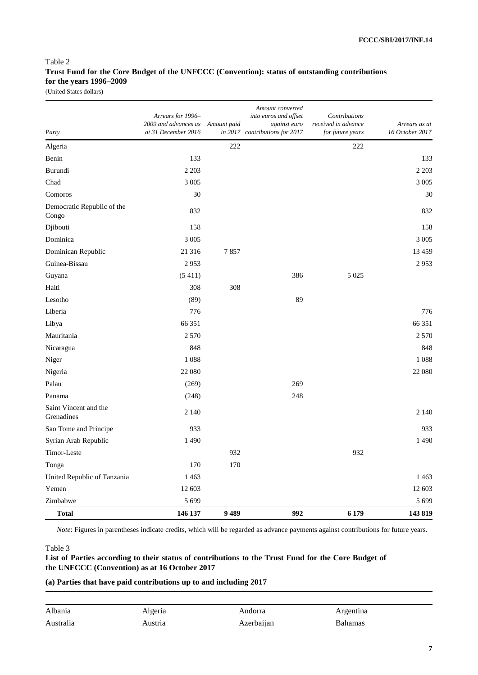## Table 2 **Trust Fund for the Core Budget of the UNFCCC (Convention): status of outstanding contributions for the years 1996–2009**

(United States dollars)

| Party                               | Arrears for 1996-<br>2009 and advances as<br>at 31 December 2016 | Amount paid | Amount converted<br>into euros and offset<br>against euro<br>in 2017 contributions for 2017 | Contributions<br>received in advance<br>for future years | Arrears as at<br>16 October 2017 |
|-------------------------------------|------------------------------------------------------------------|-------------|---------------------------------------------------------------------------------------------|----------------------------------------------------------|----------------------------------|
| Algeria                             |                                                                  | 222         |                                                                                             | 222                                                      |                                  |
| Benin                               | 133                                                              |             |                                                                                             |                                                          | 133                              |
| Burundi                             | 2 2 0 3                                                          |             |                                                                                             |                                                          | 2 2 0 3                          |
| Chad                                | 3 0 0 5                                                          |             |                                                                                             |                                                          | 3 0 0 5                          |
| Comoros                             | 30                                                               |             |                                                                                             |                                                          | 30                               |
| Democratic Republic of the<br>Congo | 832                                                              |             |                                                                                             |                                                          | 832                              |
| Djibouti                            | 158                                                              |             |                                                                                             |                                                          | 158                              |
| Dominica                            | 3 0 0 5                                                          |             |                                                                                             |                                                          | 3 0 0 5                          |
| Dominican Republic                  | 21 316                                                           | 7857        |                                                                                             |                                                          | 13459                            |
| Guinea-Bissau                       | 2953                                                             |             |                                                                                             |                                                          | 2953                             |
| Guyana                              | (5411)                                                           |             | 386                                                                                         | 5 0 2 5                                                  |                                  |
| Haiti                               | 308                                                              | 308         |                                                                                             |                                                          |                                  |
| Lesotho                             | (89)                                                             |             | 89                                                                                          |                                                          |                                  |
| Liberia                             | 776                                                              |             |                                                                                             |                                                          | 776                              |
| Libya                               | 66 351                                                           |             |                                                                                             |                                                          | 66 351                           |
| Mauritania                          | 2 5 7 0                                                          |             |                                                                                             |                                                          | 2 5 7 0                          |
| Nicaragua                           | 848                                                              |             |                                                                                             |                                                          | 848                              |
| Niger                               | 1088                                                             |             |                                                                                             |                                                          | 1088                             |
| Nigeria                             | 22 080                                                           |             |                                                                                             |                                                          | 22 080                           |
| Palau                               | (269)                                                            |             | 269                                                                                         |                                                          |                                  |
| Panama                              | (248)                                                            |             | 248                                                                                         |                                                          |                                  |
| Saint Vincent and the<br>Grenadines | 2 1 4 0                                                          |             |                                                                                             |                                                          | 2 1 4 0                          |
| Sao Tome and Principe               | 933                                                              |             |                                                                                             |                                                          | 933                              |
| Syrian Arab Republic                | 1490                                                             |             |                                                                                             |                                                          | 1490                             |
| Timor-Leste                         |                                                                  | 932         |                                                                                             | 932                                                      |                                  |
| Tonga                               | 170                                                              | 170         |                                                                                             |                                                          |                                  |
| United Republic of Tanzania         | 1463                                                             |             |                                                                                             |                                                          | 1463                             |
| Yemen                               | 12 603                                                           |             |                                                                                             |                                                          | 12 603                           |
| Zimbabwe                            | 5 6 9 9                                                          |             |                                                                                             |                                                          | 5699                             |
| <b>Total</b>                        | 146 137                                                          | 9489        | 992                                                                                         | 6 1 7 9                                                  | 143819                           |

*Note*: Figures in parentheses indicate credits, which will be regarded as advance payments against contributions for future years.

#### Table 3

#### **List of Parties according to their status of contributions to the Trust Fund for the Core Budget of the UNFCCC (Convention) as at 16 October 2017**

#### **(a) Parties that have paid contributions up to and including 2017**

| Albania   | Algeria   | Andorra    | Argentina |
|-----------|-----------|------------|-----------|
| Australia | `ustria - | Azerbaijan | Bahamas   |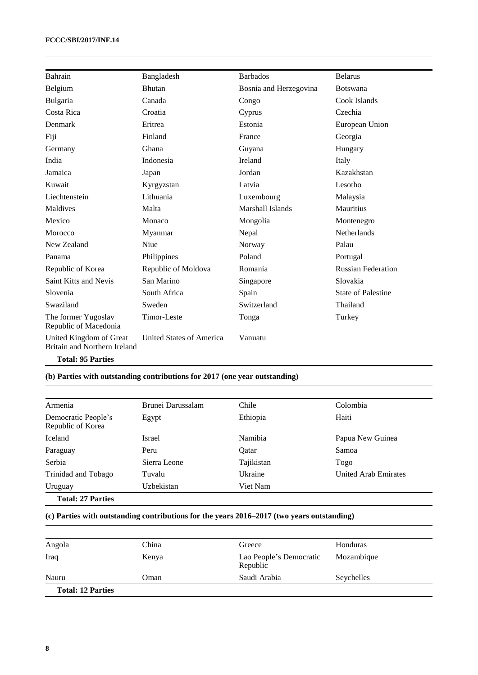| Bahrain                                                 | Bangladesh               | <b>Barbados</b>        | <b>Belarus</b>            |
|---------------------------------------------------------|--------------------------|------------------------|---------------------------|
| Belgium                                                 | <b>Bhutan</b>            | Bosnia and Herzegovina | <b>Botswana</b>           |
| Bulgaria                                                | Canada                   | Congo                  | Cook Islands              |
| Costa Rica                                              | Croatia                  | Cyprus                 | Czechia                   |
| Denmark                                                 | Eritrea                  | Estonia                | European Union            |
| Fiji                                                    | Finland                  | France                 | Georgia                   |
| Germany                                                 | Ghana                    | Guyana                 | Hungary                   |
| India                                                   | Indonesia                | Ireland                | Italy                     |
| Jamaica                                                 | Japan                    | Jordan                 | Kazakhstan                |
| Kuwait                                                  | Kyrgyzstan               | Latvia                 | Lesotho                   |
| Liechtenstein                                           | Lithuania                | Luxembourg             | Malaysia                  |
| Maldives                                                | Malta                    | Marshall Islands       | <b>Mauritius</b>          |
| Mexico                                                  | Monaco                   | Mongolia               | Montenegro                |
| Morocco                                                 | Myanmar                  | Nepal                  | <b>Netherlands</b>        |
| New Zealand                                             | Niue                     | Norway                 | Palau                     |
| Panama                                                  | Philippines              | Poland                 | Portugal                  |
| Republic of Korea                                       | Republic of Moldova      | Romania                | <b>Russian Federation</b> |
| Saint Kitts and Nevis                                   | San Marino               | Singapore              | Slovakia                  |
| Slovenia                                                | South Africa             | Spain                  | <b>State of Palestine</b> |
| Swaziland                                               | Sweden                   | Switzerland            | Thailand                  |
| The former Yugoslav<br>Republic of Macedonia            | Timor-Leste              | Tonga                  | Turkey                    |
| United Kingdom of Great<br>Britain and Northern Ireland | United States of America | Vanuatu                |                           |
| <b>Total: 95 Parties</b>                                |                          |                        |                           |

## **(b) Parties with outstanding contributions for 2017 (one year outstanding)**

| Armenia                                  | Brunei Darussalam | Chile      | Colombia             |
|------------------------------------------|-------------------|------------|----------------------|
| Democratic People's<br>Republic of Korea | Egypt             | Ethiopia   | Haiti                |
| Iceland                                  | Israel            | Namibia    | Papua New Guinea     |
| Paraguay                                 | Peru              | Oatar      | Samoa                |
| Serbia                                   | Sierra Leone      | Tajikistan | Togo                 |
| Trinidad and Tobago                      | Tuvalu            | Ukraine    | United Arab Emirates |
| Uruguay                                  | Uzbekistan        | Viet Nam   |                      |
| <b>Total: 27 Parties</b>                 |                   |            |                      |

## **(c) Parties with outstanding contributions for the years 2016–2017 (two years outstanding)**

| Angola                   | China | Greece                              | Honduras   |  |
|--------------------------|-------|-------------------------------------|------------|--|
| Iraq                     | Kenya | Lao People's Democratic<br>Republic | Mozambique |  |
| Nauru                    | Oman  | Saudi Arabia                        | Seychelles |  |
| <b>Total: 12 Parties</b> |       |                                     |            |  |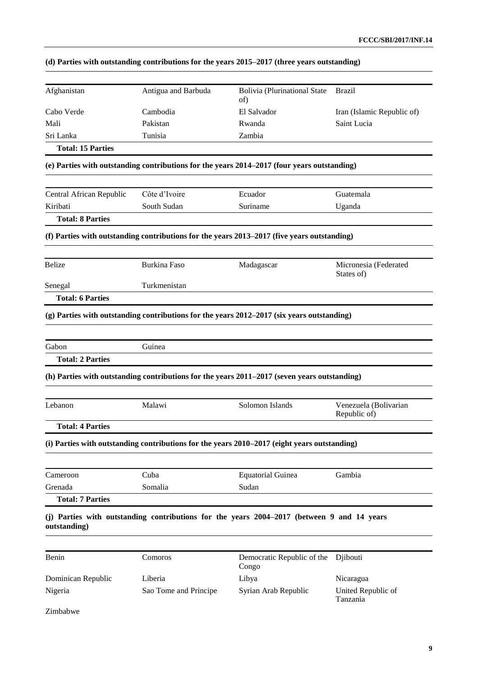| Afghanistan              | Antigua and Barbuda   | <b>Bolivia (Plurinational State</b><br>of)                                                   | Brazil                                |
|--------------------------|-----------------------|----------------------------------------------------------------------------------------------|---------------------------------------|
| Cabo Verde               | Cambodia              | El Salvador                                                                                  | Iran (Islamic Republic of)            |
| Mali                     | Pakistan              | Rwanda                                                                                       | Saint Lucia                           |
| Sri Lanka                | Tunisia               | Zambia                                                                                       |                                       |
| <b>Total: 15 Parties</b> |                       |                                                                                              |                                       |
|                          |                       | (e) Parties with outstanding contributions for the years 2014-2017 (four years outstanding)  |                                       |
| Central African Republic | Côte d'Ivoire         | Ecuador                                                                                      | Guatemala                             |
| Kiribati                 | South Sudan           | Suriname                                                                                     | Uganda                                |
| <b>Total: 8 Parties</b>  |                       |                                                                                              |                                       |
|                          |                       | (f) Parties with outstanding contributions for the years 2013-2017 (five years outstanding)  |                                       |
| <b>Belize</b>            | <b>Burkina Faso</b>   | Madagascar                                                                                   | Micronesia (Federated<br>States of)   |
| Senegal                  | Turkmenistan          |                                                                                              |                                       |
| <b>Total: 6 Parties</b>  |                       |                                                                                              |                                       |
|                          |                       | (g) Parties with outstanding contributions for the years 2012–2017 (six years outstanding)   |                                       |
| Gabon                    | Guinea                |                                                                                              |                                       |
| <b>Total: 2 Parties</b>  |                       |                                                                                              |                                       |
|                          |                       | (h) Parties with outstanding contributions for the years 2011-2017 (seven years outstanding) |                                       |
| Lebanon                  | Malawi                | Solomon Islands                                                                              | Venezuela (Bolivarian<br>Republic of) |
| <b>Total: 4 Parties</b>  |                       |                                                                                              |                                       |
|                          |                       | (i) Parties with outstanding contributions for the years 2010–2017 (eight years outstanding) |                                       |
| Cameroon                 | Cuba                  | <b>Equatorial Guinea</b>                                                                     | Gambia                                |
| Grenada                  | Somalia               | Sudan                                                                                        |                                       |
| <b>Total: 7 Parties</b>  |                       |                                                                                              |                                       |
| outstanding)             |                       | (j) Parties with outstanding contributions for the years 2004–2017 (between 9 and 14 years   |                                       |
| Benin                    | Comoros               | Democratic Republic of the<br>Congo                                                          | Djibouti                              |
| Dominican Republic       | Liberia               | Libya                                                                                        | Nicaragua                             |
| Nigeria                  | Sao Tome and Principe | Syrian Arab Republic                                                                         | United Republic of<br>Tanzania        |
|                          |                       |                                                                                              |                                       |

# **(d) Parties with outstanding contributions for the years 2015–2017 (three years outstanding)**

Zimbabwe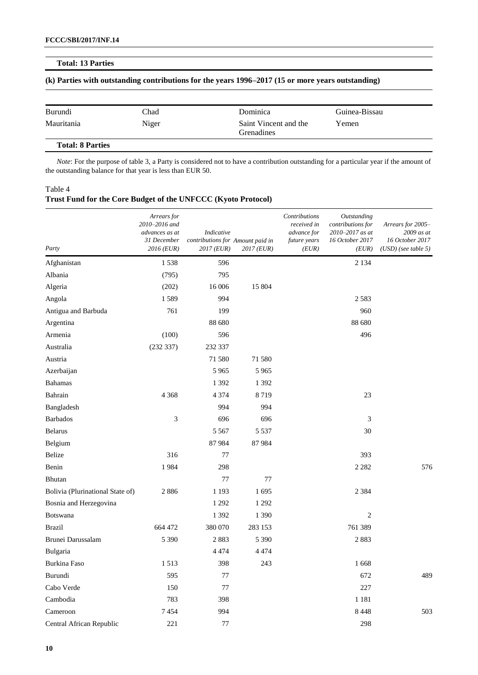#### **Total: 13 Parties**

#### **(k) Parties with outstanding contributions for the years 1996–2017 (15 or more years outstanding)**

| Burundi                 | Chad  | Dominica                                   | Guinea-Bissau |
|-------------------------|-------|--------------------------------------------|---------------|
| Mauritania              | Niger | Saint Vincent and the<br><b>Grenadines</b> | Yemen         |
| <b>Total: 8 Parties</b> |       |                                            |               |

*Note*: For the purpose of table 3, a Party is considered not to have a contribution outstanding for a particular year if the amount of the outstanding balance for that year is less than EUR 50.

#### Table 4

### **Trust Fund for the Core Budget of the UNFCCC (Kyoto Protocol)**

| Party                            | Arrears for<br>2010-2016 and<br>advances as at<br>31 December<br>2016 (EUR) | Indicative<br>contributions for Amount paid in<br>2017 (EUR) | 2017 (EUR) | Contributions<br>received in<br>advance for<br>future years<br>(EUR) | Outstanding<br>contributions for<br>2010-2017 as at<br>16 October 2017<br>(EUR) | Arrears for 2005-<br>2009 as at<br>16 October 2017<br>$(USD)$ (see table 5) |
|----------------------------------|-----------------------------------------------------------------------------|--------------------------------------------------------------|------------|----------------------------------------------------------------------|---------------------------------------------------------------------------------|-----------------------------------------------------------------------------|
| Afghanistan                      | 1538                                                                        | 596                                                          |            |                                                                      | 2 1 3 4                                                                         |                                                                             |
| Albania                          | (795)                                                                       | 795                                                          |            |                                                                      |                                                                                 |                                                                             |
| Algeria                          | (202)                                                                       | 16 006                                                       | 15 804     |                                                                      |                                                                                 |                                                                             |
| Angola                           | 1589                                                                        | 994                                                          |            |                                                                      | 2583                                                                            |                                                                             |
| Antigua and Barbuda              | 761                                                                         | 199                                                          |            |                                                                      | 960                                                                             |                                                                             |
| Argentina                        |                                                                             | 88 680                                                       |            |                                                                      | 88 680                                                                          |                                                                             |
| Armenia                          | (100)                                                                       | 596                                                          |            |                                                                      | 496                                                                             |                                                                             |
| Australia                        | (232 337)                                                                   | 232 337                                                      |            |                                                                      |                                                                                 |                                                                             |
| Austria                          |                                                                             | 71 580                                                       | 71580      |                                                                      |                                                                                 |                                                                             |
| Azerbaijan                       |                                                                             | 5 9 6 5                                                      | 5965       |                                                                      |                                                                                 |                                                                             |
| <b>Bahamas</b>                   |                                                                             | 1 3 9 2                                                      | 1 3 9 2    |                                                                      |                                                                                 |                                                                             |
| Bahrain                          | 4 3 6 8                                                                     | 4 3 7 4                                                      | 8719       |                                                                      | 23                                                                              |                                                                             |
| Bangladesh                       |                                                                             | 994                                                          | 994        |                                                                      |                                                                                 |                                                                             |
| <b>Barbados</b>                  | $\mathfrak{Z}$                                                              | 696                                                          | 696        |                                                                      | 3                                                                               |                                                                             |
| <b>Belarus</b>                   |                                                                             | 5 5 6 7                                                      | 5 5 3 7    |                                                                      | 30                                                                              |                                                                             |
| Belgium                          |                                                                             | 87 984                                                       | 87984      |                                                                      |                                                                                 |                                                                             |
| Belize                           | 316                                                                         | 77                                                           |            |                                                                      | 393                                                                             |                                                                             |
| Benin                            | 1984                                                                        | 298                                                          |            |                                                                      | 2 2 8 2                                                                         | 576                                                                         |
| Bhutan                           |                                                                             | 77                                                           | 77         |                                                                      |                                                                                 |                                                                             |
| Bolivia (Plurinational State of) | 2886                                                                        | 1 1 9 3                                                      | 1695       |                                                                      | 2 3 8 4                                                                         |                                                                             |
| Bosnia and Herzegovina           |                                                                             | 1 2 9 2                                                      | 1 2 9 2    |                                                                      |                                                                                 |                                                                             |
| Botswana                         |                                                                             | 1 3 9 2                                                      | 1 3 9 0    |                                                                      | $\overline{2}$                                                                  |                                                                             |
| <b>Brazil</b>                    | 664 472                                                                     | 380 070                                                      | 283 153    |                                                                      | 761 389                                                                         |                                                                             |
| Brunei Darussalam                | 5 3 9 0                                                                     | 2883                                                         | 5 3 9 0    |                                                                      | 2883                                                                            |                                                                             |
| Bulgaria                         |                                                                             | 4 4 7 4                                                      | 4474       |                                                                      |                                                                                 |                                                                             |
| Burkina Faso                     | 1513                                                                        | 398                                                          | 243        |                                                                      | 1668                                                                            |                                                                             |
| Burundi                          | 595                                                                         | 77                                                           |            |                                                                      | 672                                                                             | 489                                                                         |
| Cabo Verde                       | 150                                                                         | 77                                                           |            |                                                                      | 227                                                                             |                                                                             |
| Cambodia                         | 783                                                                         | 398                                                          |            |                                                                      | 1 1 8 1                                                                         |                                                                             |
| Cameroon                         | 7454                                                                        | 994                                                          |            |                                                                      | 8 4 4 8                                                                         | 503                                                                         |
| Central African Republic         | 221                                                                         | 77                                                           |            |                                                                      | 298                                                                             |                                                                             |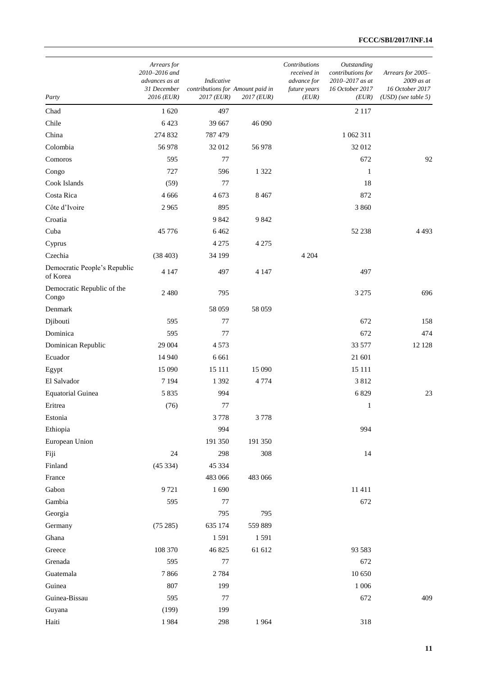| Party                                    | Arrears for<br>2010-2016 and<br>advances as at<br>31 December<br>2016 (EUR) | Indicative<br>contributions for Amount paid in<br>2017 (EUR) | $2017$ (EUR) | Contributions<br>received in<br>advance for<br>future years<br>(EUR) | Outstanding<br>contributions for<br>2010-2017 as at<br>16 October 2017<br>(EUR) | Arrears for 2005-<br>$2009$ as at<br>16 October 2017<br>$(USD)$ (see table 5) |
|------------------------------------------|-----------------------------------------------------------------------------|--------------------------------------------------------------|--------------|----------------------------------------------------------------------|---------------------------------------------------------------------------------|-------------------------------------------------------------------------------|
| Chad                                     | 1 620                                                                       | 497                                                          |              |                                                                      | 2 1 1 7                                                                         |                                                                               |
| Chile                                    | 6423                                                                        | 39 667                                                       | 46 090       |                                                                      |                                                                                 |                                                                               |
| China                                    | 274 832                                                                     | 787 479                                                      |              |                                                                      | 1 062 311                                                                       |                                                                               |
| Colombia                                 | 56 978                                                                      | 32 012                                                       | 56978        |                                                                      | 32 012                                                                          |                                                                               |
| Comoros                                  | 595                                                                         | 77                                                           |              |                                                                      | 672                                                                             | 92                                                                            |
| Congo                                    | 727                                                                         | 596                                                          | 1 3 2 2      |                                                                      | $\mathbf{1}$                                                                    |                                                                               |
| Cook Islands                             | (59)                                                                        | 77                                                           |              |                                                                      | 18                                                                              |                                                                               |
| Costa Rica                               | 4 6 6 6                                                                     | 4 6 7 3                                                      | 8467         |                                                                      | 872                                                                             |                                                                               |
| Côte d'Ivoire                            | 2965                                                                        | 895                                                          |              |                                                                      | 3 8 6 0                                                                         |                                                                               |
| Croatia                                  |                                                                             | 9842                                                         | 9842         |                                                                      |                                                                                 |                                                                               |
| Cuba                                     | 45 776                                                                      | 6462                                                         |              |                                                                      | 52 238                                                                          | 4493                                                                          |
| Cyprus                                   |                                                                             | 4 2 7 5                                                      | 4 2 7 5      |                                                                      |                                                                                 |                                                                               |
| Czechia                                  | (38403)                                                                     | 34 199                                                       |              | 4 2 0 4                                                              |                                                                                 |                                                                               |
| Democratic People's Republic<br>of Korea | 4 1 4 7                                                                     | 497                                                          | 4 1 4 7      |                                                                      | 497                                                                             |                                                                               |
| Democratic Republic of the<br>Congo      | 2480                                                                        | 795                                                          |              |                                                                      | 3 2 7 5                                                                         | 696                                                                           |
| Denmark                                  |                                                                             | 58 059                                                       | 58 059       |                                                                      |                                                                                 |                                                                               |
| Djibouti                                 | 595                                                                         | 77                                                           |              |                                                                      | 672                                                                             | 158                                                                           |
| Dominica                                 | 595                                                                         | 77                                                           |              |                                                                      | 672                                                                             | 474                                                                           |
| Dominican Republic                       | 29 004                                                                      | 4573                                                         |              |                                                                      | 33 577                                                                          | 12 12 8                                                                       |
| Ecuador                                  | 14 940                                                                      | 6 6 6 1                                                      |              |                                                                      | 21 601                                                                          |                                                                               |
| Egypt                                    | 15 090                                                                      | 15 11 1                                                      | 15 090       |                                                                      | 15 111                                                                          |                                                                               |
| El Salvador                              | 7 1 9 4                                                                     | 1 3 9 2                                                      | 4 7 7 4      |                                                                      | 3812                                                                            |                                                                               |
| <b>Equatorial Guinea</b>                 | 5 8 3 5                                                                     | 994                                                          |              |                                                                      | 6829                                                                            | 23                                                                            |
| Eritrea                                  | (76)                                                                        | 77                                                           |              |                                                                      | $\mathbf{1}$                                                                    |                                                                               |
| Estonia                                  |                                                                             | 3 7 7 8                                                      | 3 7 7 8      |                                                                      |                                                                                 |                                                                               |
| Ethiopia                                 |                                                                             | 994                                                          |              |                                                                      | 994                                                                             |                                                                               |
| European Union                           |                                                                             | 191 350                                                      | 191 350      |                                                                      |                                                                                 |                                                                               |
| Fiji                                     | 24                                                                          | 298                                                          | 308          |                                                                      | 14                                                                              |                                                                               |
| Finland                                  | (45334)                                                                     | 45 334                                                       |              |                                                                      |                                                                                 |                                                                               |
| France                                   |                                                                             | 483 066                                                      | 483 066      |                                                                      |                                                                                 |                                                                               |
| Gabon                                    | 9721                                                                        | 1690                                                         |              |                                                                      | 11411                                                                           |                                                                               |
| Gambia                                   | 595                                                                         | 77                                                           |              |                                                                      | 672                                                                             |                                                                               |
| Georgia                                  |                                                                             | 795                                                          | 795          |                                                                      |                                                                                 |                                                                               |
| Germany                                  | (75285)                                                                     | 635 174                                                      | 559 889      |                                                                      |                                                                                 |                                                                               |
| Ghana                                    |                                                                             | 1591                                                         | 1591         |                                                                      |                                                                                 |                                                                               |
| Greece                                   | 108 370                                                                     | 46 825                                                       | 61 612       |                                                                      | 93 583                                                                          |                                                                               |
| Grenada                                  | 595                                                                         | $77 \,$                                                      |              |                                                                      | 672                                                                             |                                                                               |
| Guatemala                                | 7866                                                                        | 2784                                                         |              |                                                                      | 10 650                                                                          |                                                                               |
| Guinea                                   | 807                                                                         | 199                                                          |              |                                                                      | 1 0 0 6                                                                         |                                                                               |
| Guinea-Bissau                            | 595                                                                         | 77                                                           |              |                                                                      | 672                                                                             | 409                                                                           |
| Guyana                                   | (199)                                                                       | 199                                                          |              |                                                                      |                                                                                 |                                                                               |
| Haiti                                    | 1984                                                                        | 298                                                          | 1964         |                                                                      | 318                                                                             |                                                                               |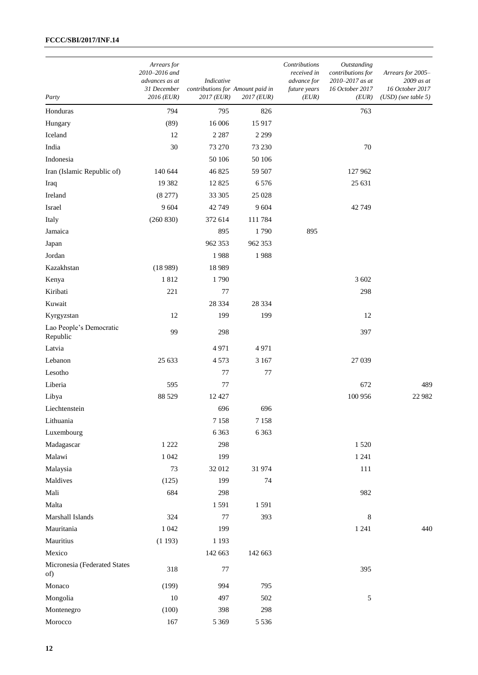| Party                               | Arrears for<br>2010-2016 and<br>advances as at<br>31 December<br>2016 (EUR) | Indicative<br>contributions for Amount paid in<br>$2017$ (EUR) | 2017 (EUR) | Contributions<br>received in<br>advance for<br>future years<br>(EUR) | Outstanding<br>contributions for<br>2010-2017 as at<br>16 October 2017<br>(EUR) | Arrears for 2005-<br>2009 as at<br>16 October 2017<br>$(USD)$ (see table 5) |
|-------------------------------------|-----------------------------------------------------------------------------|----------------------------------------------------------------|------------|----------------------------------------------------------------------|---------------------------------------------------------------------------------|-----------------------------------------------------------------------------|
| Honduras                            | 794                                                                         | 795                                                            | 826        |                                                                      | 763                                                                             |                                                                             |
| Hungary                             | (89)                                                                        | 16 006                                                         | 15917      |                                                                      |                                                                                 |                                                                             |
| Iceland                             | 12                                                                          | 2 2 8 7                                                        | 2 2 9 9    |                                                                      |                                                                                 |                                                                             |
| India                               | 30                                                                          | 73 270                                                         | 73 230     |                                                                      | 70                                                                              |                                                                             |
| Indonesia                           |                                                                             | 50 106                                                         | 50 106     |                                                                      |                                                                                 |                                                                             |
| Iran (Islamic Republic of)          | 140 644                                                                     | 46 825                                                         | 59 507     |                                                                      | 127 962                                                                         |                                                                             |
| Iraq                                | 19 3 82                                                                     | 12 8 25                                                        | 6576       |                                                                      | 25 631                                                                          |                                                                             |
| Ireland                             | (8277)                                                                      | 33 30 5                                                        | 25 0 28    |                                                                      |                                                                                 |                                                                             |
| Israel                              | 9 6 0 4                                                                     | 42 749                                                         | 9604       |                                                                      | 42749                                                                           |                                                                             |
| Italy                               | (260 830)                                                                   | 372 614                                                        | 111784     |                                                                      |                                                                                 |                                                                             |
| Jamaica                             |                                                                             | 895                                                            | 1790       | 895                                                                  |                                                                                 |                                                                             |
| Japan                               |                                                                             | 962 353                                                        | 962 353    |                                                                      |                                                                                 |                                                                             |
| Jordan                              |                                                                             | 1988                                                           | 1988       |                                                                      |                                                                                 |                                                                             |
| Kazakhstan                          | (18989)                                                                     | 18 9 89                                                        |            |                                                                      |                                                                                 |                                                                             |
| Kenya                               | 1812                                                                        | 1790                                                           |            |                                                                      | 3 602                                                                           |                                                                             |
| Kiribati                            | 221                                                                         | 77                                                             |            |                                                                      | 298                                                                             |                                                                             |
| Kuwait                              |                                                                             | 28 3 34                                                        | 28 3 34    |                                                                      |                                                                                 |                                                                             |
| Kyrgyzstan                          | 12                                                                          | 199                                                            | 199        |                                                                      | 12                                                                              |                                                                             |
| Lao People's Democratic<br>Republic | 99                                                                          | 298                                                            |            |                                                                      | 397                                                                             |                                                                             |
| Latvia                              |                                                                             | 4971                                                           | 4971       |                                                                      |                                                                                 |                                                                             |
| Lebanon                             | 25 633                                                                      | 4573                                                           | 3 1 6 7    |                                                                      | 27 039                                                                          |                                                                             |
| Lesotho                             |                                                                             | 77                                                             | 77         |                                                                      |                                                                                 |                                                                             |
| Liberia                             | 595                                                                         | 77                                                             |            |                                                                      | 672                                                                             | 489                                                                         |
| Libya                               | 88 5 29                                                                     | 12 4 27                                                        |            |                                                                      | 100 956                                                                         | 22 982                                                                      |
| Liechtenstein                       |                                                                             | 696                                                            | 696        |                                                                      |                                                                                 |                                                                             |
| Lithuania                           |                                                                             | 7 1 5 8                                                        | 7 1 5 8    |                                                                      |                                                                                 |                                                                             |
| Luxembourg                          |                                                                             | 6 3 6 3                                                        | 6 3 6 3    |                                                                      |                                                                                 |                                                                             |
| Madagascar                          | 1 2 2 2                                                                     | 298                                                            |            |                                                                      | 1520                                                                            |                                                                             |
| Malawi                              | 1 0 4 2                                                                     | 199                                                            |            |                                                                      | 1 2 4 1                                                                         |                                                                             |
| Malaysia                            | $73\,$                                                                      | 32 012                                                         | 31974      |                                                                      | 111                                                                             |                                                                             |
| Maldives                            | (125)                                                                       | 199                                                            | 74         |                                                                      |                                                                                 |                                                                             |
| Mali                                | 684                                                                         | 298                                                            |            |                                                                      | 982                                                                             |                                                                             |
| Malta                               |                                                                             | 1591                                                           | 1591       |                                                                      |                                                                                 |                                                                             |
| Marshall Islands                    | 324                                                                         | 77                                                             | 393        |                                                                      | 8                                                                               |                                                                             |
| Mauritania                          | 1 0 4 2                                                                     | 199                                                            |            |                                                                      | 1 2 4 1                                                                         | 440                                                                         |
| Mauritius                           | (1193)                                                                      | 1 1 9 3                                                        |            |                                                                      |                                                                                 |                                                                             |
| Mexico                              |                                                                             | 142 663                                                        | 142 663    |                                                                      |                                                                                 |                                                                             |
| Micronesia (Federated States<br>of) | 318                                                                         | 77                                                             |            |                                                                      | 395                                                                             |                                                                             |
| Monaco                              | (199)                                                                       | 994                                                            | 795        |                                                                      |                                                                                 |                                                                             |
| Mongolia                            | $10\,$                                                                      | 497                                                            | 502        |                                                                      | 5                                                                               |                                                                             |
| Montenegro                          | (100)                                                                       | 398                                                            | 298        |                                                                      |                                                                                 |                                                                             |
| Morocco                             | 167                                                                         | 5 3 6 9                                                        | 5 5 3 6    |                                                                      |                                                                                 |                                                                             |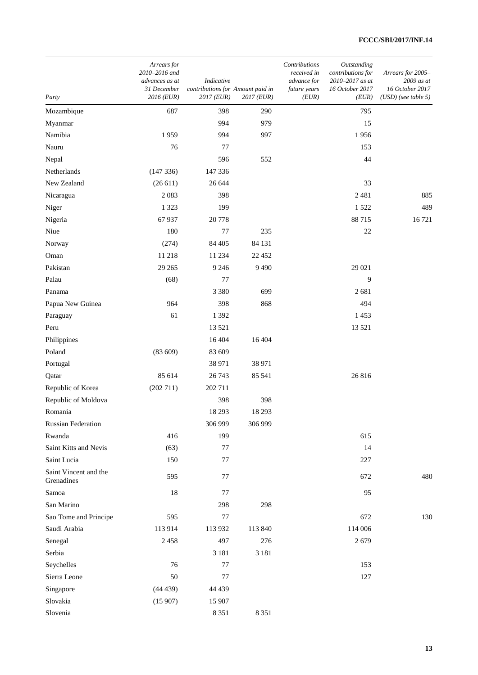| Party                               | Arrears for<br>2010-2016 and<br>advances as at<br>31 December<br>2016 (EUR) | Indicative<br>contributions for Amount paid in<br>2017 (EUR) | $2017$ (EUR) | Contributions<br>received in<br>advance for<br>future years<br>(EUR) | Outstanding<br>contributions for<br>2010-2017 as at<br>16 October 2017<br>(EUR) | Arrears for 2005-<br>2009 as at<br>16 October 2017<br>$(USD)$ (see table 5) |
|-------------------------------------|-----------------------------------------------------------------------------|--------------------------------------------------------------|--------------|----------------------------------------------------------------------|---------------------------------------------------------------------------------|-----------------------------------------------------------------------------|
| Mozambique                          | 687                                                                         | 398                                                          | 290          |                                                                      | 795                                                                             |                                                                             |
| Myanmar                             |                                                                             | 994                                                          | 979          |                                                                      | 15                                                                              |                                                                             |
| Namibia                             | 1959                                                                        | 994                                                          | 997          |                                                                      | 1956                                                                            |                                                                             |
| Nauru                               | 76                                                                          | 77                                                           |              |                                                                      | 153                                                                             |                                                                             |
| Nepal                               |                                                                             | 596                                                          | 552          |                                                                      | 44                                                                              |                                                                             |
| Netherlands                         | (147336)                                                                    | 147 336                                                      |              |                                                                      |                                                                                 |                                                                             |
| New Zealand                         | (26611)                                                                     | 26 644                                                       |              |                                                                      | 33                                                                              |                                                                             |
| Nicaragua                           | 2083                                                                        | 398                                                          |              |                                                                      | 2481                                                                            | 885                                                                         |
| Niger                               | 1 3 2 3                                                                     | 199                                                          |              |                                                                      | 1522                                                                            | 489                                                                         |
| Nigeria                             | 67 937                                                                      | 20778                                                        |              |                                                                      | 88715                                                                           | 16721                                                                       |
| Niue                                | 180                                                                         | 77                                                           | 235          |                                                                      | 22                                                                              |                                                                             |
| Norway                              | (274)                                                                       | 84 405                                                       | 84 131       |                                                                      |                                                                                 |                                                                             |
| Oman                                | 11 218                                                                      | 11 234                                                       | 22 4 5 2     |                                                                      |                                                                                 |                                                                             |
| Pakistan                            | 29 26 5                                                                     | 9 2 4 6                                                      | 9 4 9 0      |                                                                      | 29 021                                                                          |                                                                             |
| Palau                               | (68)                                                                        | 77                                                           |              |                                                                      | 9                                                                               |                                                                             |
| Panama                              |                                                                             | 3 3 8 0                                                      | 699          |                                                                      | 2681                                                                            |                                                                             |
| Papua New Guinea                    | 964                                                                         | 398                                                          | 868          |                                                                      | 494                                                                             |                                                                             |
| Paraguay                            | 61                                                                          | 1 3 9 2                                                      |              |                                                                      | 1453                                                                            |                                                                             |
| Peru                                |                                                                             | 13 5 21                                                      |              |                                                                      | 13 5 21                                                                         |                                                                             |
| Philippines                         |                                                                             | 16 404                                                       | 16 404       |                                                                      |                                                                                 |                                                                             |
| Poland                              | (83609)                                                                     | 83 609                                                       |              |                                                                      |                                                                                 |                                                                             |
| Portugal                            |                                                                             | 38 971                                                       | 38 971       |                                                                      |                                                                                 |                                                                             |
| Qatar                               | 85 614                                                                      | 26 743                                                       | 85 541       |                                                                      | 26816                                                                           |                                                                             |
| Republic of Korea                   | (202 711)                                                                   | 202 711                                                      |              |                                                                      |                                                                                 |                                                                             |
| Republic of Moldova                 |                                                                             | 398                                                          | 398          |                                                                      |                                                                                 |                                                                             |
| Romania                             |                                                                             | 18 29 3                                                      | 18 29 3      |                                                                      |                                                                                 |                                                                             |
| <b>Russian Federation</b>           |                                                                             | 306 999                                                      | 306 999      |                                                                      |                                                                                 |                                                                             |
| Rwanda                              | 416                                                                         | 199                                                          |              |                                                                      | 615                                                                             |                                                                             |
| Saint Kitts and Nevis               | (63)                                                                        | 77                                                           |              |                                                                      | 14                                                                              |                                                                             |
| Saint Lucia                         | 150                                                                         | 77                                                           |              |                                                                      | 227                                                                             |                                                                             |
| Saint Vincent and the<br>Grenadines | 595                                                                         | 77                                                           |              |                                                                      | 672                                                                             | 480                                                                         |
| Samoa                               | 18                                                                          | 77                                                           |              |                                                                      | 95                                                                              |                                                                             |
| San Marino                          |                                                                             | 298                                                          | 298          |                                                                      |                                                                                 |                                                                             |
| Sao Tome and Principe               | 595                                                                         | 77                                                           |              |                                                                      | 672                                                                             | 130                                                                         |
| Saudi Arabia                        | 113914                                                                      | 113 932                                                      | 113 840      |                                                                      | 114 006                                                                         |                                                                             |
| Senegal                             | 2458                                                                        | 497                                                          | 276          |                                                                      | 2679                                                                            |                                                                             |
| Serbia                              |                                                                             | 3 1 8 1                                                      | 3 1 8 1      |                                                                      |                                                                                 |                                                                             |
| Seychelles                          | 76                                                                          | 77                                                           |              |                                                                      | 153                                                                             |                                                                             |
| Sierra Leone                        | 50                                                                          | 77                                                           |              |                                                                      | 127                                                                             |                                                                             |
| Singapore                           | (44439)                                                                     | 44 4 39                                                      |              |                                                                      |                                                                                 |                                                                             |
| Slovakia                            | (15907)                                                                     | 15 907                                                       |              |                                                                      |                                                                                 |                                                                             |
| Slovenia                            |                                                                             | 8 3 5 1                                                      | 8 3 5 1      |                                                                      |                                                                                 |                                                                             |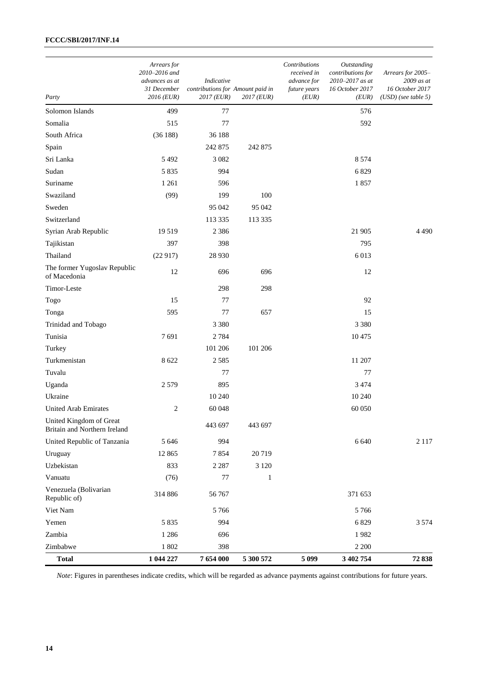| Party                                                   | Arrears for<br>2010-2016 and<br>advances as at<br>31 December<br>$2016$ (EUR) | Indicative<br>contributions for Amount paid in<br>$2017$ (EUR) | 2017 (EUR)   | Contributions<br>received in<br>advance for<br>future years<br>(EUR) | Outstanding<br>contributions for<br>2010-2017 as at<br>16 October 2017<br>(EUR) | Arrears for 2005-<br>2009 as at<br>16 October 2017<br>$(USD)$ (see table 5) |
|---------------------------------------------------------|-------------------------------------------------------------------------------|----------------------------------------------------------------|--------------|----------------------------------------------------------------------|---------------------------------------------------------------------------------|-----------------------------------------------------------------------------|
| Solomon Islands                                         | 499                                                                           | 77                                                             |              |                                                                      | 576                                                                             |                                                                             |
| Somalia                                                 | 515                                                                           | 77                                                             |              |                                                                      | 592                                                                             |                                                                             |
| South Africa                                            | (36188)                                                                       | 36 188                                                         |              |                                                                      |                                                                                 |                                                                             |
| Spain                                                   |                                                                               | 242 875                                                        | 242 875      |                                                                      |                                                                                 |                                                                             |
| Sri Lanka                                               | 5 4 9 2                                                                       | 3 0 8 2                                                        |              |                                                                      | 8 5 7 4                                                                         |                                                                             |
| Sudan                                                   | 5835                                                                          | 994                                                            |              |                                                                      | 6829                                                                            |                                                                             |
| Suriname                                                | 1 2 6 1                                                                       | 596                                                            |              |                                                                      | 1857                                                                            |                                                                             |
| Swaziland                                               | (99)                                                                          | 199                                                            | 100          |                                                                      |                                                                                 |                                                                             |
| Sweden                                                  |                                                                               | 95 042                                                         | 95 042       |                                                                      |                                                                                 |                                                                             |
| Switzerland                                             |                                                                               | 113 335                                                        | 113 335      |                                                                      |                                                                                 |                                                                             |
| Syrian Arab Republic                                    | 19519                                                                         | 2 3 8 6                                                        |              |                                                                      | 21 905                                                                          | 4490                                                                        |
| Tajikistan                                              | 397                                                                           | 398                                                            |              |                                                                      | 795                                                                             |                                                                             |
| Thailand                                                | (22917)                                                                       | 28 9 30                                                        |              |                                                                      | 6013                                                                            |                                                                             |
| The former Yugoslav Republic<br>of Macedonia            | 12                                                                            | 696                                                            | 696          |                                                                      | 12                                                                              |                                                                             |
| Timor-Leste                                             |                                                                               | 298                                                            | 298          |                                                                      |                                                                                 |                                                                             |
| Togo                                                    | 15                                                                            | 77                                                             |              |                                                                      | 92                                                                              |                                                                             |
| Tonga                                                   | 595                                                                           | 77                                                             | 657          |                                                                      | 15                                                                              |                                                                             |
| Trinidad and Tobago                                     |                                                                               | 3 3 8 0                                                        |              |                                                                      | 3 3 8 0                                                                         |                                                                             |
| Tunisia                                                 | 7691                                                                          | 2784                                                           |              |                                                                      | 10475                                                                           |                                                                             |
| Turkey                                                  |                                                                               | 101 206                                                        | 101 206      |                                                                      |                                                                                 |                                                                             |
| Turkmenistan                                            | 8 6 22                                                                        | 2585                                                           |              |                                                                      | 11 207                                                                          |                                                                             |
| Tuvalu                                                  |                                                                               | 77                                                             |              |                                                                      | 77                                                                              |                                                                             |
| Uganda                                                  | 2579                                                                          | 895                                                            |              |                                                                      | 3 4 7 4                                                                         |                                                                             |
| Ukraine                                                 |                                                                               | 10 240                                                         |              |                                                                      | 10 240                                                                          |                                                                             |
| <b>United Arab Emirates</b>                             | $\mathbf{2}$                                                                  | 60 048                                                         |              |                                                                      | 60 050                                                                          |                                                                             |
| United Kingdom of Great<br>Britain and Northern Ireland |                                                                               | 443 697                                                        | 443 697      |                                                                      |                                                                                 |                                                                             |
| United Republic of Tanzania                             | 5 6 4 6                                                                       | 994                                                            |              |                                                                      | 6 6 4 0                                                                         | 2 1 1 7                                                                     |
| Uruguay                                                 | 12 865                                                                        | 7854                                                           | 20719        |                                                                      |                                                                                 |                                                                             |
| Uzbekistan                                              | 833                                                                           | 2 2 8 7                                                        | 3 1 2 0      |                                                                      |                                                                                 |                                                                             |
| Vanuatu                                                 | (76)                                                                          | 77                                                             | $\mathbf{1}$ |                                                                      |                                                                                 |                                                                             |
| Venezuela (Bolivarian<br>Republic of)                   | 314 886                                                                       | 56 767                                                         |              |                                                                      | 371 653                                                                         |                                                                             |
| Viet Nam                                                |                                                                               | 5766                                                           |              |                                                                      | 5766                                                                            |                                                                             |
| Yemen                                                   | 5 8 3 5                                                                       | 994                                                            |              |                                                                      | 6829                                                                            | 3 5 7 4                                                                     |
| Zambia                                                  | 1 2 8 6                                                                       | 696                                                            |              |                                                                      | 1982                                                                            |                                                                             |
| Zimbabwe                                                | $1\ 802$                                                                      | 398                                                            |              |                                                                      | 2 2 0 0                                                                         |                                                                             |
| <b>Total</b>                                            | 1 044 227                                                                     | 7 654 000                                                      | 5 300 572    | 5 0 9 9                                                              | 3 402 754                                                                       | 72838                                                                       |

*Note*: Figures in parentheses indicate credits, which will be regarded as advance payments against contributions for future years.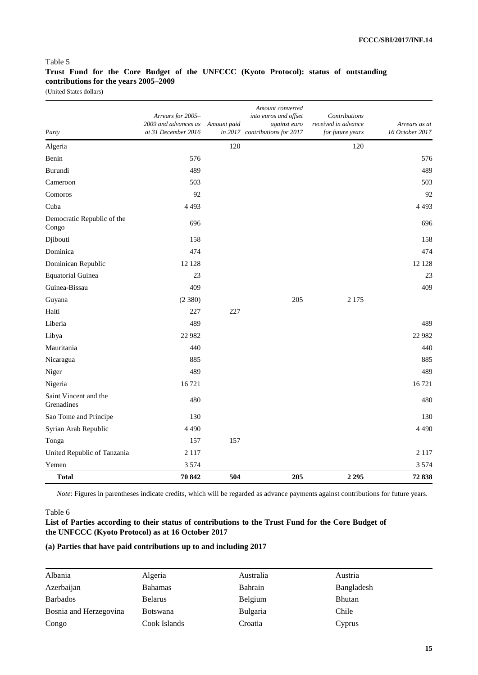## **Trust Fund for the Core Budget of the UNFCCC (Kyoto Protocol): status of outstanding contributions for the years 2005–2009**

(United States dollars)

| Party                               | Arrears for 2005-<br>2009 and advances as<br>at 31 December 2016 | Amount paid | Amount converted<br>into euros and offset<br>against euro<br>in 2017 contributions for 2017 | Contributions<br>received in advance<br>for future years | Arrears as at<br>16 October 2017 |
|-------------------------------------|------------------------------------------------------------------|-------------|---------------------------------------------------------------------------------------------|----------------------------------------------------------|----------------------------------|
| Algeria                             |                                                                  | 120         |                                                                                             | 120                                                      |                                  |
| Benin                               | 576                                                              |             |                                                                                             |                                                          | 576                              |
| Burundi                             | 489                                                              |             |                                                                                             |                                                          | 489                              |
| Cameroon                            | 503                                                              |             |                                                                                             |                                                          | 503                              |
| Comoros                             | 92                                                               |             |                                                                                             |                                                          | 92                               |
| Cuba                                | 4 4 9 3                                                          |             |                                                                                             |                                                          | 4 4 9 3                          |
| Democratic Republic of the<br>Congo | 696                                                              |             |                                                                                             |                                                          | 696                              |
| Djibouti                            | 158                                                              |             |                                                                                             |                                                          | 158                              |
| Dominica                            | 474                                                              |             |                                                                                             |                                                          | 474                              |
| Dominican Republic                  | 12 128                                                           |             |                                                                                             |                                                          | 12 12 8                          |
| <b>Equatorial Guinea</b>            | 23                                                               |             |                                                                                             |                                                          | 23                               |
| Guinea-Bissau                       | 409                                                              |             |                                                                                             |                                                          | 409                              |
| Guyana                              | (2380)                                                           |             | 205                                                                                         | 2 1 7 5                                                  |                                  |
| Haiti                               | 227                                                              | 227         |                                                                                             |                                                          |                                  |
| Liberia                             | 489                                                              |             |                                                                                             |                                                          | 489                              |
| Libya                               | 22 982                                                           |             |                                                                                             |                                                          | 22 9 82                          |
| Mauritania                          | 440                                                              |             |                                                                                             |                                                          | 440                              |
| Nicaragua                           | 885                                                              |             |                                                                                             |                                                          | 885                              |
| Niger                               | 489                                                              |             |                                                                                             |                                                          | 489                              |
| Nigeria                             | 16721                                                            |             |                                                                                             |                                                          | 16721                            |
| Saint Vincent and the<br>Grenadines | 480                                                              |             |                                                                                             |                                                          | 480                              |
| Sao Tome and Principe               | 130                                                              |             |                                                                                             |                                                          | 130                              |
| Syrian Arab Republic                | 4 4 9 0                                                          |             |                                                                                             |                                                          | 4490                             |
| Tonga                               | 157                                                              | 157         |                                                                                             |                                                          |                                  |
| United Republic of Tanzania         | 2 1 1 7                                                          |             |                                                                                             |                                                          | 2 1 1 7                          |
| Yemen                               | 3 5 7 4                                                          |             |                                                                                             |                                                          | 3 5 7 4                          |
| <b>Total</b>                        | 70 842                                                           | 504         | 205                                                                                         | 2 2 9 5                                                  | 72838                            |

*Note*: Figures in parentheses indicate credits, which will be regarded as advance payments against contributions for future years.

### Table 6

### **List of Parties according to their status of contributions to the Trust Fund for the Core Budget of the UNFCCC (Kyoto Protocol) as at 16 October 2017**

### **(a) Parties that have paid contributions up to and including 2017**

| Albania                | Algeria         | Australia       | Austria       |
|------------------------|-----------------|-----------------|---------------|
| Azerbaijan             | <b>Bahamas</b>  | Bahrain         | Bangladesh    |
| <b>Barbados</b>        | <b>Belarus</b>  | Belgium         | <b>Bhutan</b> |
| Bosnia and Herzegovina | <b>Botswana</b> | <b>Bulgaria</b> | Chile         |
| Congo                  | Cook Islands    | Croatia         | Cyprus        |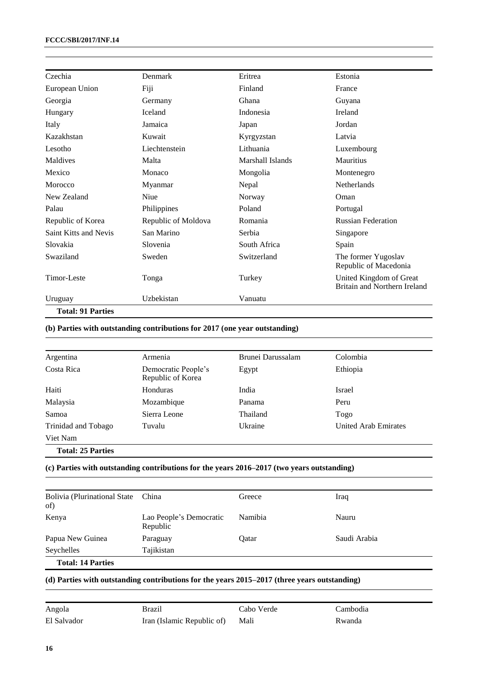| Czechia                  | Denmark             | Eritrea          | Estonia                                                 |
|--------------------------|---------------------|------------------|---------------------------------------------------------|
| European Union           | Fiji                | Finland          | France                                                  |
| Georgia                  | Germany             | Ghana            | Guyana                                                  |
| Hungary                  | <b>Iceland</b>      | Indonesia        | Ireland                                                 |
| Italy                    | Jamaica             | Japan            | Jordan                                                  |
| Kazakhstan               | Kuwait              | Kyrgyzstan       | Latvia                                                  |
| Lesotho                  | Liechtenstein       | Lithuania        | Luxembourg                                              |
| Maldives                 | Malta               | Marshall Islands | Mauritius                                               |
| Mexico                   | Monaco              | Mongolia         | Montenegro                                              |
| Morocco                  | Myanmar             | Nepal            | <b>Netherlands</b>                                      |
| New Zealand              | Niue                | Norway           | Oman                                                    |
| Palau                    | Philippines         | Poland           | Portugal                                                |
| Republic of Korea        | Republic of Moldova | Romania          | <b>Russian Federation</b>                               |
| Saint Kitts and Nevis    | San Marino          | Serbia           | Singapore                                               |
| Slovakia                 | Slovenia            | South Africa     | Spain                                                   |
| Swaziland                | Sweden              | Switzerland      | The former Yugoslav<br>Republic of Macedonia            |
| Timor-Leste              | Tonga               | Turkey           | United Kingdom of Great<br>Britain and Northern Ireland |
| Uruguay                  | Uzbekistan          | Vanuatu          |                                                         |
| <b>Total: 91 Parties</b> |                     |                  |                                                         |

# **(b) Parties with outstanding contributions for 2017 (one year outstanding)**

| Argentina                | Armenia                                  | Brunei Darussalam | Colombia             |
|--------------------------|------------------------------------------|-------------------|----------------------|
| Costa Rica               | Democratic People's<br>Republic of Korea | Egypt             | Ethiopia             |
| Haiti                    | Honduras                                 | India             | Israel               |
| Malaysia                 | Mozambique                               | Panama            | Peru                 |
| Samoa                    | Sierra Leone                             | Thailand          | Togo                 |
| Trinidad and Tobago      | Tuvalu                                   | Ukraine           | United Arab Emirates |
| Viet Nam                 |                                          |                   |                      |
| <b>Total: 25 Parties</b> |                                          |                   |                      |

### **(c) Parties with outstanding contributions for the years 2016–2017 (two years outstanding)**

| <b>Bolivia (Plurinational State</b><br>of) | China                               | Greece  | Iraq         |
|--------------------------------------------|-------------------------------------|---------|--------------|
| Kenya                                      | Lao People's Democratic<br>Republic | Namibia | Nauru        |
| Papua New Guinea                           | Paraguay                            | Oatar   | Saudi Arabia |
| Seychelles                                 | Tajikistan                          |         |              |
| <b>Total: 14 Parties</b>                   |                                     |         |              |

#### **(d) Parties with outstanding contributions for the years 2015–2017 (three years outstanding)**

| Angola      | Brazil                          | Cabo Verde | Cambodia |
|-------------|---------------------------------|------------|----------|
| El Salvador | Iran (Islamic Republic of) Mali |            | Rwanda   |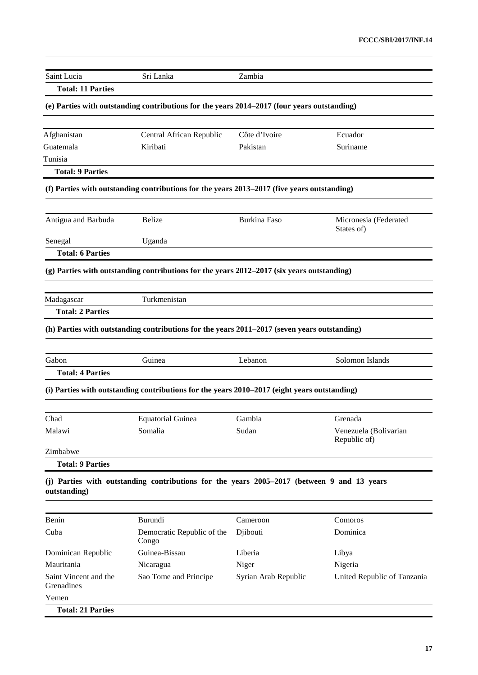| Saint Lucia              | Sri Lanka                                                                                    | Zambia               |                                  |
|--------------------------|----------------------------------------------------------------------------------------------|----------------------|----------------------------------|
| <b>Total: 11 Parties</b> |                                                                                              |                      |                                  |
|                          | (e) Parties with outstanding contributions for the years 2014–2017 (four years outstanding)  |                      |                                  |
| Afghanistan              | Central African Republic                                                                     | Côte d'Ivoire        | Ecuador                          |
| Guatemala                | Kiribati                                                                                     | Pakistan             | Suriname                         |
| Tunisia                  |                                                                                              |                      |                                  |
| <b>Total: 9 Parties</b>  |                                                                                              |                      |                                  |
|                          | (f) Parties with outstanding contributions for the years 2013–2017 (five years outstanding)  |                      |                                  |
| Antigua and Barbuda      | <b>Belize</b>                                                                                | <b>Burkina Faso</b>  | Micronesia (Federated            |
| Senegal                  | Uganda                                                                                       |                      | States of)                       |
| <b>Total: 6 Parties</b>  |                                                                                              |                      |                                  |
|                          | (g) Parties with outstanding contributions for the years 2012–2017 (six years outstanding)   |                      |                                  |
|                          |                                                                                              |                      |                                  |
| Madagascar               | Turkmenistan                                                                                 |                      |                                  |
| <b>Total: 2 Parties</b>  |                                                                                              |                      |                                  |
|                          | (h) Parties with outstanding contributions for the years 2011–2017 (seven years outstanding) |                      |                                  |
| Gabon                    | Guinea                                                                                       | Lebanon              | Solomon Islands                  |
| <b>Total: 4 Parties</b>  |                                                                                              |                      |                                  |
|                          | (i) Parties with outstanding contributions for the years 2010–2017 (eight years outstanding) |                      |                                  |
|                          |                                                                                              |                      |                                  |
| Chad<br>Malawi           | <b>Equatorial Guinea</b><br>Somalia                                                          | Gambia<br>Sudan      | Grenada<br>Venezuela (Bolivarian |
|                          |                                                                                              |                      | Republic of)                     |
| Zimbabwe                 |                                                                                              |                      |                                  |
| <b>Total: 9 Parties</b>  |                                                                                              |                      |                                  |
| outstanding)             | (j) Parties with outstanding contributions for the years 2005–2017 (between 9 and 13 years   |                      |                                  |
| Benin                    | Burundi                                                                                      | Cameroon             | Comoros                          |
| Cuba                     | Democratic Republic of the<br>Congo                                                          | Djibouti             | Dominica                         |
| Dominican Republic       | Guinea-Bissau                                                                                | Liberia              | Libya                            |
| Mauritania               | Nicaragua                                                                                    | Niger                | Nigeria                          |
| Saint Vincent and the    | Sao Tome and Principe                                                                        | Syrian Arab Republic | United Republic of Tanzania      |

**Total: 21 Parties**

Grenadines

Yemen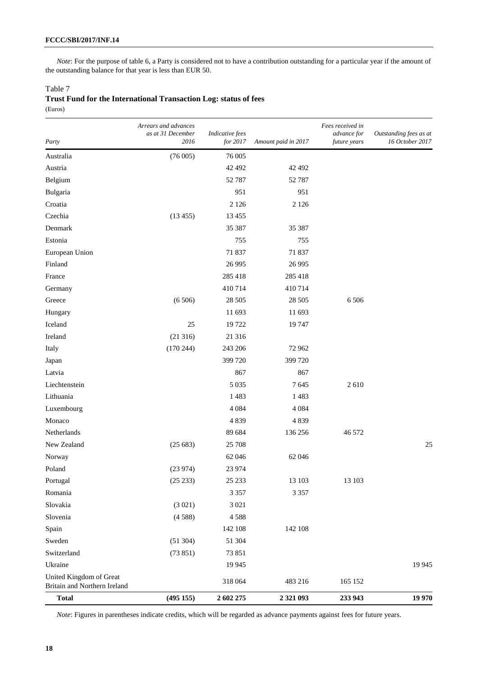*Note*: For the purpose of table 6, a Party is considered not to have a contribution outstanding for a particular year if the amount of the outstanding balance for that year is less than EUR 50.

#### Table 7

| Trust Fund for the International Transaction Log: status of fees |  |  |  |
|------------------------------------------------------------------|--|--|--|
| (Euros)                                                          |  |  |  |

|                                                         | Arrears and advances<br>as at 31 December | Indicative fees |                     | Fees received in<br>advance for | Outstanding fees as at |
|---------------------------------------------------------|-------------------------------------------|-----------------|---------------------|---------------------------------|------------------------|
| Party                                                   | 2016                                      | for 2017        | Amount paid in 2017 | future years                    | 16 October 2017        |
| Australia                                               | (76005)                                   | 76 005          |                     |                                 |                        |
| Austria                                                 |                                           | 42 492          | 42 492              |                                 |                        |
| Belgium                                                 |                                           | 52 787          | 52 787              |                                 |                        |
| Bulgaria                                                |                                           | 951             | 951                 |                                 |                        |
| Croatia                                                 |                                           | 2 1 2 6         | 2 1 2 6             |                                 |                        |
| Czechia                                                 | (13455)                                   | 13 4 55         |                     |                                 |                        |
| Denmark                                                 |                                           | 35 387          | 35 387              |                                 |                        |
| Estonia                                                 |                                           | 755             | 755                 |                                 |                        |
| European Union                                          |                                           | 71 837          | 71 837              |                                 |                        |
| Finland                                                 |                                           | 26 9 95         | 26 9 95             |                                 |                        |
| France                                                  |                                           | 285 418         | 285 418             |                                 |                        |
| Germany                                                 |                                           | 410714          | 410714              |                                 |                        |
| Greece                                                  | (6506)                                    | 28 5 05         | 28 505              | 6 5 0 6                         |                        |
| Hungary                                                 |                                           | 11 693          | 11 693              |                                 |                        |
| Iceland                                                 | 25                                        | 19722           | 19747               |                                 |                        |
| Ireland                                                 | (21316)                                   | 21 316          |                     |                                 |                        |
| Italy                                                   | (170244)                                  | 243 206         | 72 962              |                                 |                        |
| Japan                                                   |                                           | 399 720         | 399 720             |                                 |                        |
| Latvia                                                  |                                           | 867             | 867                 |                                 |                        |
| Liechtenstein                                           |                                           | 5 0 3 5         | 7645                | 2610                            |                        |
| Lithuania                                               |                                           | 1483            | 1483                |                                 |                        |
| Luxembourg                                              |                                           | 4 0 8 4         | 4 0 8 4             |                                 |                        |
| Monaco                                                  |                                           | 4839            | 4839                |                                 |                        |
| Netherlands                                             |                                           | 89 684          | 136 256             | 46 572                          |                        |
| New Zealand                                             | (25683)                                   | 25 708          |                     |                                 | 25                     |
| Norway                                                  |                                           | 62 046          | 62 046              |                                 |                        |
| Poland                                                  | (23974)                                   | 23 974          |                     |                                 |                        |
| Portugal                                                | (25 233)                                  | 25 233          | 13 103              | 13 103                          |                        |
| Romania                                                 |                                           | 3 3 5 7         | 3 3 5 7             |                                 |                        |
| Slovakia                                                | (3 021)                                   | 3 0 2 1         |                     |                                 |                        |
| Slovenia                                                | (4588)                                    | 4588            |                     |                                 |                        |
| Spain                                                   |                                           | 142 108         | 142 108             |                                 |                        |
| Sweden                                                  | (51304)                                   | 51 304          |                     |                                 |                        |
| Switzerland                                             | (73851)                                   | 73 851          |                     |                                 |                        |
| Ukraine                                                 |                                           | 19 9 45         |                     |                                 | 19 9 45                |
| United Kingdom of Great<br>Britain and Northern Ireland |                                           | 318 064         | 483 216             | 165 152                         |                        |
| <b>Total</b>                                            | (495 155)                                 | 2 602 275       | 2 321 093           | 233 943                         | 19 970                 |

*Note*: Figures in parentheses indicate credits, which will be regarded as advance payments against fees for future years.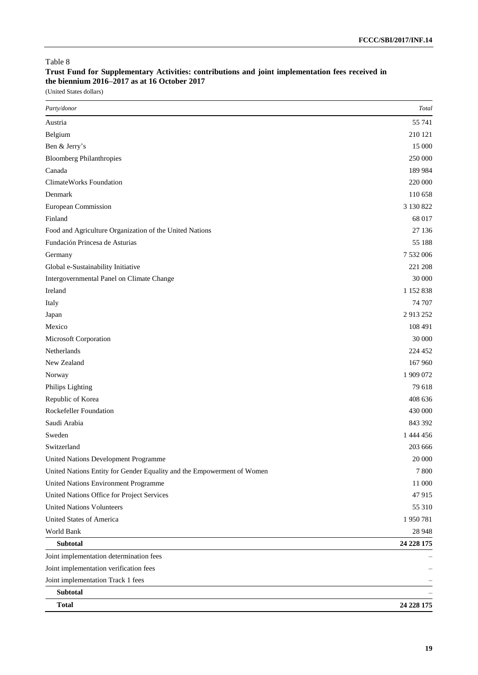## **Trust Fund for Supplementary Activities: contributions and joint implementation fees received in the biennium 2016–2017 as at 16 October 2017**

(United States dollars)

| Party/donor                                                            | <b>Total</b> |
|------------------------------------------------------------------------|--------------|
| Austria                                                                | 55 741       |
| Belgium                                                                | 210 121      |
| Ben & Jerry's                                                          | 15 000       |
| <b>Bloomberg Philanthropies</b>                                        | 250 000      |
| Canada                                                                 | 189 984      |
| <b>ClimateWorks Foundation</b>                                         | 220 000      |
| Denmark                                                                | 110 658      |
| European Commission                                                    | 3 130 822    |
| Finland                                                                | 68 017       |
| Food and Agriculture Organization of the United Nations                | 27 136       |
| Fundación Princesa de Asturias                                         | 55 188       |
| Germany                                                                | 7 532 006    |
| Global e-Sustainability Initiative                                     | 221 208      |
| Intergovernmental Panel on Climate Change                              | 30 000       |
| Ireland                                                                | 1 152 838    |
| Italy                                                                  | 74 707       |
| Japan                                                                  | 2913252      |
| Mexico                                                                 | 108 491      |
| Microsoft Corporation                                                  | 30 000       |
| Netherlands                                                            | 224 452      |
| New Zealand                                                            | 167 960      |
| Norway                                                                 | 1 909 072    |
| Philips Lighting                                                       | 79 618       |
| Republic of Korea                                                      | 408 636      |
| Rockefeller Foundation                                                 | 430 000      |
| Saudi Arabia                                                           | 843 392      |
| Sweden                                                                 | 1 444 456    |
| Switzerland                                                            | 203 666      |
| United Nations Development Programme                                   | 20 000       |
| United Nations Entity for Gender Equality and the Empowerment of Women | 7 800        |
| United Nations Environment Programme                                   | 11 000       |
| United Nations Office for Project Services                             | 47915        |
| <b>United Nations Volunteers</b>                                       | 55 310       |
| United States of America                                               | 1950781      |
| World Bank                                                             | 28 9 48      |
| <b>Subtotal</b>                                                        | 24 228 175   |
| Joint implementation determination fees                                |              |
| Joint implementation verification fees                                 |              |
| Joint implementation Track 1 fees                                      |              |
| <b>Subtotal</b>                                                        |              |
| <b>Total</b>                                                           | 24 228 175   |